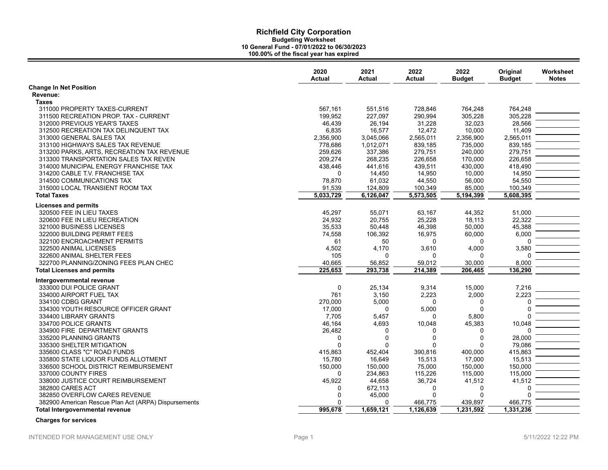|                                                      | 2020<br><b>Actual</b> | 2021<br>Actual | 2022<br><b>Actual</b> | 2022<br><b>Budget</b> | Original<br><b>Budget</b> | Worksheet<br><b>Notes</b> |
|------------------------------------------------------|-----------------------|----------------|-----------------------|-----------------------|---------------------------|---------------------------|
| <b>Change In Net Position</b>                        |                       |                |                       |                       |                           |                           |
| Revenue:                                             |                       |                |                       |                       |                           |                           |
| <b>Taxes</b>                                         |                       |                |                       |                       |                           |                           |
| 311000 PROPERTY TAXES-CURRENT                        | 567,161               | 551,516        | 728,846               | 764,248               | 764,248                   |                           |
| 311500 RECREATION PROP. TAX - CURRENT                | 199.952               | 227,097        | 290,994               | 305,228               | 305.228                   |                           |
| 312000 PREVIOUS YEAR'S TAXES                         | 46,439                | 26,194         | 31,228                | 32,023                | 28,566                    |                           |
| 312500 RECREATION TAX DELINQUENT TAX                 | 6,835                 | 16,577         | 12,472                | 10,000                | 11,409                    |                           |
| 313000 GENERAL SALES TAX                             | 2,356,900             | 3,045,066      | 2,565,011             | 2,356,900             | 2,565,011                 |                           |
| 313100 HIGHWAYS SALES TAX REVENUE                    | 778,686               | 1,012,071      | 839,185               | 735,000               | 839,185                   |                           |
| 313200 PARKS, ARTS, RECREATION TAX REVENUE           | 259,626               | 337,386        | 279,751               | 240,000               | 279,751                   |                           |
| 313300 TRANSPORTATION SALES TAX REVEN                | 209,274               | 268,235        | 226,658               | 170,000               | 226,658                   |                           |
| 314000 MUNICIPAL ENERGY FRANCHISE TAX                | 438,446               | 441,616        | 439,511               | 430,000               | 418,490                   |                           |
| 314200 CABLE T.V. FRANCHISE TAX                      | $\Omega$              | 14,450         | 14,950                | 10,000                | 14,950                    |                           |
| 314500 COMMUNICATIONS TAX                            | 78,870                | 61,032         | 44,550                | 56,000                | 54,550                    |                           |
| 315000 LOCAL TRANSIENT ROOM TAX                      | 91,539                | 124,809        | 100,349               | 85,000                | 100,349                   |                           |
| <b>Total Taxes</b>                                   | 5,033,729             | 6,126,047      | 5,573,505             | 5,194,399             | 5,608,395                 |                           |
| <b>Licenses and permits</b>                          |                       |                |                       |                       |                           |                           |
| 320500 FEE IN LIEU TAXES                             | 45,297                | 55,071         | 63,167                | 44,352                | 51,000                    |                           |
| 320600 FEE IN LIEU RECREATION                        | 24,932                | 20,755         | 25,228                | 18,113                | 22,322                    |                           |
| 321000 BUSINESS LICENSES                             | 35,533                | 50,448         | 46,398                | 50,000                | 45,388                    |                           |
| 322000 BUILDING PERMIT FEES                          | 74,558                | 106,392        | 16,975                | 60,000                | 6,000                     |                           |
| 322100 ENCROACHMENT PERMITS                          | 61                    | 50             | 0                     | 0                     | 0                         |                           |
| 322500 ANIMAL LICENSES                               | 4,502                 | 4,170          | 3,610                 | 4,000                 | 3,580                     |                           |
| 322600 ANIMAL SHELTER FEES                           | 105                   | <sup>0</sup>   | 0                     | 0                     |                           |                           |
| 322700 PLANNING/ZONING FEES PLAN CHEC                | 40,665                | 56,852         | 59,012                | 30,000                | 8,000                     |                           |
| <b>Total Licenses and permits</b>                    | 225,653               | 293.738        | 214,389               | 206.465               | 136.290                   |                           |
| Intergovernmental revenue                            |                       |                |                       |                       |                           |                           |
| 333000 DUI POLICE GRANT                              | $\mathbf 0$           | 25,134         | 9,314                 | 15,000                | 7,216                     |                           |
| 334000 AIRPORT FUEL TAX                              | 761                   | 3,150          | 2,223                 | 2,000                 | 2,223                     |                           |
| 334100 CDBG GRANT                                    | 270,000               | 5,000          | $\Omega$              | 0                     | O                         |                           |
| 334300 YOUTH RESOURCE OFFICER GRANT                  | 17,000                | $\Omega$       | 5,000                 | 0                     | $\Omega$                  |                           |
| 334400 LIBRARY GRANTS                                | 7,705                 | 5,457          | $\Omega$              | 5,800                 |                           |                           |
| 334700 POLICE GRANTS                                 | 46,164                | 4,693          | 10,048                | 45,383                | 10,048                    |                           |
| 334900 FIRE DEPARTMENT GRANTS                        | 26,482                | $\Omega$       | $\Omega$              | 0                     | U                         |                           |
| 335200 PLANNING GRANTS                               | $\mathbf 0$           | $\Omega$       | $\Omega$              | 0                     | 28,000                    |                           |
| 335300 SHELTER MITIGATION                            | $\mathbf 0$           | $\Omega$       | $\Omega$              | 0                     | 79,086                    |                           |
| 335600 CLASS "C" ROAD FUNDS                          | 415.863               | 452,404        | 390.816               | 400,000               | 415,863                   |                           |
| 335800 STATE LIQUOR FUNDS ALLOTMENT                  | 15,780                | 16,649         | 15,513                | 17,000                | 15,513                    |                           |
| 336500 SCHOOL DISTRICT REIMBURSEMENT                 | 150,000               | 150,000        | 75,000                | 150,000               | 150,000                   |                           |
| 337000 COUNTY FIRES                                  | 0                     | 234,863        | 115,226               | 115,000               | 115,000                   |                           |
| 338000 JUSTICE COURT REIMBURSEMENT                   | 45,922                | 44,658         | 36,724                | 41,512                | 41,512                    |                           |
| 382800 CARES ACT                                     | 0                     | 672,113        | 0                     | 0                     | 0                         |                           |
| 382850 OVERFLOW CARES REVENUE                        | $\Omega$              | 45,000         | 0                     | 0                     |                           |                           |
| 382900 American Rescue Plan Act (ARPA) Dispursements | $\Omega$              | $\Omega$       | 466,775               | 439,897               | 466,775                   |                           |
| Total Intergovernmental revenue                      | 995,678               | 1,659,121      | 1,126,639             | 1,231,592             | 1,331,236                 |                           |

 **Charges for services**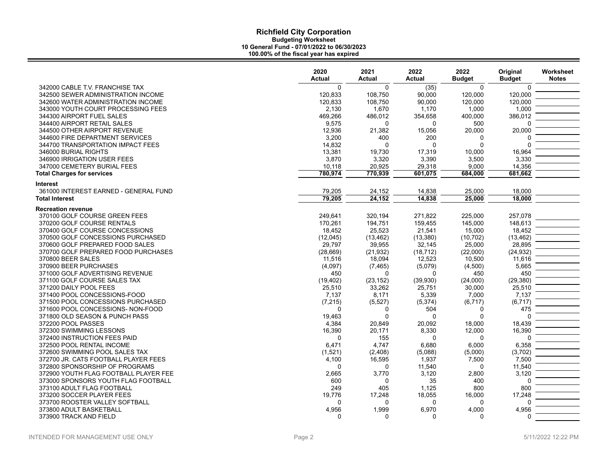| 342000 CABLE T.V. FRANCHISE TAX<br>$\Omega$<br>$\Omega$<br>(35)<br>$\Omega$<br>$\Omega$<br>120,000<br>342500 SEWER ADMINISTRATION INCOME<br>120,833<br>108,750<br>90,000<br>120,000<br>342600 WATER ADMINISTRATION INCOME<br>120,833<br>108,750<br>90,000<br>120,000<br>120,000<br>343000 YOUTH COURT PROCESSING FEES<br>2,130<br>1,670<br>1,170<br>1,000<br>1,000<br>344300 AIRPORT FUEL SALES<br>469,266<br>486,012<br>354,658<br>400,000<br>386,012<br>344400 AIRPORT RETAIL SALES<br>9,575<br>$\mathbf 0$<br>0<br>500<br>$\Omega$<br>344500 OTHER AIRPORT REVENUE<br>12,936<br>21,382<br>20,000<br>20,000<br>15,056<br>344600 FIRE DEPARTMENT SERVICES<br>3,200<br>400<br>200<br>0<br>$\Omega$<br>$\Omega$<br>$\Omega$<br>344700 TRANSPORTATION IMPACT FEES<br>14,832<br>$\Omega$<br>0<br>16,964<br>346000 BURIAL RIGHTS<br>13,381<br>19,730<br>17,319<br>10,000<br>3,330<br>346900 IRRIGATION USER FEES<br>3,870<br>3,320<br>3,390<br>3,500<br>14,356<br>347000 CEMETERY BURIAL FEES<br>10,118<br>20,925<br>29,318<br>9,000<br>780,974<br>681,662<br><b>Total Charges for services</b><br>770,939<br>601,075<br>684,000<br><b>Interest</b><br>361000 INTEREST EARNED - GENERAL FUND<br>79,205<br>24,152<br>14,838<br>25,000<br>18,000<br>79.205<br>24,152<br>14,838<br>25,000<br>18,000<br><b>Total Interest</b><br><b>Recreation revenue</b><br>370100 GOLF COURSE GREEN FEES<br>249,641<br>271,822<br>225,000<br>257,078<br>320,194<br>370200 GOLF COURSE RENTALS<br>194,751<br>145,000<br>148,613<br>170,261<br>159,455<br>370400 GOLF COURSE CONCESSIONS<br>25,523<br>21,541<br>15,000<br>18,452<br>18,452<br>(13, 462)<br>370500 GOLF CONCESSIONS PURCHASED<br>(12,045)<br>(13, 380)<br>(10, 702)<br>(13, 462)<br>370600 GOLF PREPARED FOOD SALES<br>29,797<br>39,955<br>28,895<br>32,145<br>25,000<br>370700 GOLF PREPARED FOOD PURCHASES<br>(24, 932)<br>(28, 669)<br>(21, 932)<br>(18, 712)<br>(22,000)<br>370800 BEER SALES<br>12,523<br>11,616<br>11,516<br>18,094<br>10,500<br>370900 BEER PURCHASES<br>(5,079)<br>5,665<br>(4,097)<br>(7, 465)<br>(4,500)<br>450<br>371000 GOLF ADVERTISING REVENUE<br>$\Omega$<br>450<br>450<br>0<br>(29, 380)<br>371100 GOLF COURSE SALES TAX<br>(39,930)<br>(24,000)<br>(19, 402)<br>(23, 152)<br>371200 DAILY POOL FEES<br>33,262<br>25,751<br>25,510<br>25,510<br>30,000<br>371400 POOL CONCESSIONS-FOOD<br>7,137<br>8,171<br>5,339<br>7,000<br>7,137<br>(6, 717)<br>371500 POOL CONCESSIONS PURCHASED<br>(7, 215)<br>(5, 527)<br>(5, 374)<br>(6, 717)<br>371600 POOL CONCESSIONS- NON-FOOD<br>504<br>475<br>$\Omega$<br>0<br>0<br>371800 OLD SEASON & PUNCH PASS<br>19,463<br>$\Omega$<br>$\Omega$<br>$\Omega$<br>$\Omega$<br>372200 POOL PASSES<br>4,384<br>20,849<br>20,092<br>18,439<br>18,000<br>16,390<br>16,390<br>20,171<br>8,330<br>12,000<br>372300 SWIMMING LESSONS<br>372400 INSTRUCTION FEES PAID<br>155<br>0<br>$\Omega$<br>$\Omega$<br>$\Omega$<br>372500 POOL RENTAL INCOME<br>6,471<br>6,680<br>6,000<br>6,358<br>4.747<br>372600 SWIMMING POOL SALES TAX<br>(3,702)<br>(1,521)<br>(2,408)<br>(5,088)<br>(5,000)<br>7,500<br>372700 JR. CATS FOOTBALL PLAYER FEES<br>4,100<br>16,595<br>1,937<br>7,500<br>11,540<br>372800 SPONSORSHIP OF PROGRAMS<br>11,540<br>$\Omega$<br>$\Omega$<br>$\Omega$<br>3,120<br>372900 YOUTH FLAG FOOTBALL PLAYER FEE<br>2,665<br>3,770<br>3,120<br>2,800<br>373000 SPONSORS YOUTH FLAG FOOTBALL<br>600<br>35<br>400<br>$\Omega$<br>$\Omega$<br>800<br>373100 ADULT FLAG FOOTBALL<br>249<br>405<br>1,125<br>800<br>373200 SOCCER PLAYER FEES<br>19,776<br>17,248<br>18,055<br>16,000<br>17,248<br>373700 ROOSTER VALLEY SOFTBALL<br>$\Omega$<br>0<br>$\Omega$<br>$\Omega$<br>$\Omega$<br>4,956<br>1,999<br>6,970<br>4,000<br>4,956<br>373800 ADULT BASKETBALL<br>373900 TRACK AND FIELD<br>$\Omega$<br>$\Omega$<br>$\Omega$<br>$\Omega$<br>$\Omega$ | 2020<br><b>Actual</b> | 2021<br><b>Actual</b> | 2022<br><b>Actual</b> | 2022<br><b>Budget</b> | Original<br><b>Budget</b> | Worksheet<br><b>Notes</b> |
|---------------------------------------------------------------------------------------------------------------------------------------------------------------------------------------------------------------------------------------------------------------------------------------------------------------------------------------------------------------------------------------------------------------------------------------------------------------------------------------------------------------------------------------------------------------------------------------------------------------------------------------------------------------------------------------------------------------------------------------------------------------------------------------------------------------------------------------------------------------------------------------------------------------------------------------------------------------------------------------------------------------------------------------------------------------------------------------------------------------------------------------------------------------------------------------------------------------------------------------------------------------------------------------------------------------------------------------------------------------------------------------------------------------------------------------------------------------------------------------------------------------------------------------------------------------------------------------------------------------------------------------------------------------------------------------------------------------------------------------------------------------------------------------------------------------------------------------------------------------------------------------------------------------------------------------------------------------------------------------------------------------------------------------------------------------------------------------------------------------------------------------------------------------------------------------------------------------------------------------------------------------------------------------------------------------------------------------------------------------------------------------------------------------------------------------------------------------------------------------------------------------------------------------------------------------------------------------------------------------------------------------------------------------------------------------------------------------------------------------------------------------------------------------------------------------------------------------------------------------------------------------------------------------------------------------------------------------------------------------------------------------------------------------------------------------------------------------------------------------------------------------------------------------------------------------------------------------------------------------------------------------------------------------------------------------------------------------------------------------------------------------------------------------------------------------------------------------------------------------------------------------------------------------------------------------------------------------------------------------------------------------------------------------------------------------------------------------------------------------------------------------------------------------------------------------------------------------------------------|-----------------------|-----------------------|-----------------------|-----------------------|---------------------------|---------------------------|
|                                                                                                                                                                                                                                                                                                                                                                                                                                                                                                                                                                                                                                                                                                                                                                                                                                                                                                                                                                                                                                                                                                                                                                                                                                                                                                                                                                                                                                                                                                                                                                                                                                                                                                                                                                                                                                                                                                                                                                                                                                                                                                                                                                                                                                                                                                                                                                                                                                                                                                                                                                                                                                                                                                                                                                                                                                                                                                                                                                                                                                                                                                                                                                                                                                                                                                                                                                                                                                                                                                                                                                                                                                                                                                                                                                                                                                                         |                       |                       |                       |                       |                           |                           |
|                                                                                                                                                                                                                                                                                                                                                                                                                                                                                                                                                                                                                                                                                                                                                                                                                                                                                                                                                                                                                                                                                                                                                                                                                                                                                                                                                                                                                                                                                                                                                                                                                                                                                                                                                                                                                                                                                                                                                                                                                                                                                                                                                                                                                                                                                                                                                                                                                                                                                                                                                                                                                                                                                                                                                                                                                                                                                                                                                                                                                                                                                                                                                                                                                                                                                                                                                                                                                                                                                                                                                                                                                                                                                                                                                                                                                                                         |                       |                       |                       |                       |                           |                           |
|                                                                                                                                                                                                                                                                                                                                                                                                                                                                                                                                                                                                                                                                                                                                                                                                                                                                                                                                                                                                                                                                                                                                                                                                                                                                                                                                                                                                                                                                                                                                                                                                                                                                                                                                                                                                                                                                                                                                                                                                                                                                                                                                                                                                                                                                                                                                                                                                                                                                                                                                                                                                                                                                                                                                                                                                                                                                                                                                                                                                                                                                                                                                                                                                                                                                                                                                                                                                                                                                                                                                                                                                                                                                                                                                                                                                                                                         |                       |                       |                       |                       |                           |                           |
|                                                                                                                                                                                                                                                                                                                                                                                                                                                                                                                                                                                                                                                                                                                                                                                                                                                                                                                                                                                                                                                                                                                                                                                                                                                                                                                                                                                                                                                                                                                                                                                                                                                                                                                                                                                                                                                                                                                                                                                                                                                                                                                                                                                                                                                                                                                                                                                                                                                                                                                                                                                                                                                                                                                                                                                                                                                                                                                                                                                                                                                                                                                                                                                                                                                                                                                                                                                                                                                                                                                                                                                                                                                                                                                                                                                                                                                         |                       |                       |                       |                       |                           |                           |
|                                                                                                                                                                                                                                                                                                                                                                                                                                                                                                                                                                                                                                                                                                                                                                                                                                                                                                                                                                                                                                                                                                                                                                                                                                                                                                                                                                                                                                                                                                                                                                                                                                                                                                                                                                                                                                                                                                                                                                                                                                                                                                                                                                                                                                                                                                                                                                                                                                                                                                                                                                                                                                                                                                                                                                                                                                                                                                                                                                                                                                                                                                                                                                                                                                                                                                                                                                                                                                                                                                                                                                                                                                                                                                                                                                                                                                                         |                       |                       |                       |                       |                           |                           |
|                                                                                                                                                                                                                                                                                                                                                                                                                                                                                                                                                                                                                                                                                                                                                                                                                                                                                                                                                                                                                                                                                                                                                                                                                                                                                                                                                                                                                                                                                                                                                                                                                                                                                                                                                                                                                                                                                                                                                                                                                                                                                                                                                                                                                                                                                                                                                                                                                                                                                                                                                                                                                                                                                                                                                                                                                                                                                                                                                                                                                                                                                                                                                                                                                                                                                                                                                                                                                                                                                                                                                                                                                                                                                                                                                                                                                                                         |                       |                       |                       |                       |                           |                           |
|                                                                                                                                                                                                                                                                                                                                                                                                                                                                                                                                                                                                                                                                                                                                                                                                                                                                                                                                                                                                                                                                                                                                                                                                                                                                                                                                                                                                                                                                                                                                                                                                                                                                                                                                                                                                                                                                                                                                                                                                                                                                                                                                                                                                                                                                                                                                                                                                                                                                                                                                                                                                                                                                                                                                                                                                                                                                                                                                                                                                                                                                                                                                                                                                                                                                                                                                                                                                                                                                                                                                                                                                                                                                                                                                                                                                                                                         |                       |                       |                       |                       |                           |                           |
|                                                                                                                                                                                                                                                                                                                                                                                                                                                                                                                                                                                                                                                                                                                                                                                                                                                                                                                                                                                                                                                                                                                                                                                                                                                                                                                                                                                                                                                                                                                                                                                                                                                                                                                                                                                                                                                                                                                                                                                                                                                                                                                                                                                                                                                                                                                                                                                                                                                                                                                                                                                                                                                                                                                                                                                                                                                                                                                                                                                                                                                                                                                                                                                                                                                                                                                                                                                                                                                                                                                                                                                                                                                                                                                                                                                                                                                         |                       |                       |                       |                       |                           |                           |
|                                                                                                                                                                                                                                                                                                                                                                                                                                                                                                                                                                                                                                                                                                                                                                                                                                                                                                                                                                                                                                                                                                                                                                                                                                                                                                                                                                                                                                                                                                                                                                                                                                                                                                                                                                                                                                                                                                                                                                                                                                                                                                                                                                                                                                                                                                                                                                                                                                                                                                                                                                                                                                                                                                                                                                                                                                                                                                                                                                                                                                                                                                                                                                                                                                                                                                                                                                                                                                                                                                                                                                                                                                                                                                                                                                                                                                                         |                       |                       |                       |                       |                           |                           |
|                                                                                                                                                                                                                                                                                                                                                                                                                                                                                                                                                                                                                                                                                                                                                                                                                                                                                                                                                                                                                                                                                                                                                                                                                                                                                                                                                                                                                                                                                                                                                                                                                                                                                                                                                                                                                                                                                                                                                                                                                                                                                                                                                                                                                                                                                                                                                                                                                                                                                                                                                                                                                                                                                                                                                                                                                                                                                                                                                                                                                                                                                                                                                                                                                                                                                                                                                                                                                                                                                                                                                                                                                                                                                                                                                                                                                                                         |                       |                       |                       |                       |                           |                           |
|                                                                                                                                                                                                                                                                                                                                                                                                                                                                                                                                                                                                                                                                                                                                                                                                                                                                                                                                                                                                                                                                                                                                                                                                                                                                                                                                                                                                                                                                                                                                                                                                                                                                                                                                                                                                                                                                                                                                                                                                                                                                                                                                                                                                                                                                                                                                                                                                                                                                                                                                                                                                                                                                                                                                                                                                                                                                                                                                                                                                                                                                                                                                                                                                                                                                                                                                                                                                                                                                                                                                                                                                                                                                                                                                                                                                                                                         |                       |                       |                       |                       |                           |                           |
|                                                                                                                                                                                                                                                                                                                                                                                                                                                                                                                                                                                                                                                                                                                                                                                                                                                                                                                                                                                                                                                                                                                                                                                                                                                                                                                                                                                                                                                                                                                                                                                                                                                                                                                                                                                                                                                                                                                                                                                                                                                                                                                                                                                                                                                                                                                                                                                                                                                                                                                                                                                                                                                                                                                                                                                                                                                                                                                                                                                                                                                                                                                                                                                                                                                                                                                                                                                                                                                                                                                                                                                                                                                                                                                                                                                                                                                         |                       |                       |                       |                       |                           |                           |
|                                                                                                                                                                                                                                                                                                                                                                                                                                                                                                                                                                                                                                                                                                                                                                                                                                                                                                                                                                                                                                                                                                                                                                                                                                                                                                                                                                                                                                                                                                                                                                                                                                                                                                                                                                                                                                                                                                                                                                                                                                                                                                                                                                                                                                                                                                                                                                                                                                                                                                                                                                                                                                                                                                                                                                                                                                                                                                                                                                                                                                                                                                                                                                                                                                                                                                                                                                                                                                                                                                                                                                                                                                                                                                                                                                                                                                                         |                       |                       |                       |                       |                           |                           |
|                                                                                                                                                                                                                                                                                                                                                                                                                                                                                                                                                                                                                                                                                                                                                                                                                                                                                                                                                                                                                                                                                                                                                                                                                                                                                                                                                                                                                                                                                                                                                                                                                                                                                                                                                                                                                                                                                                                                                                                                                                                                                                                                                                                                                                                                                                                                                                                                                                                                                                                                                                                                                                                                                                                                                                                                                                                                                                                                                                                                                                                                                                                                                                                                                                                                                                                                                                                                                                                                                                                                                                                                                                                                                                                                                                                                                                                         |                       |                       |                       |                       |                           |                           |
|                                                                                                                                                                                                                                                                                                                                                                                                                                                                                                                                                                                                                                                                                                                                                                                                                                                                                                                                                                                                                                                                                                                                                                                                                                                                                                                                                                                                                                                                                                                                                                                                                                                                                                                                                                                                                                                                                                                                                                                                                                                                                                                                                                                                                                                                                                                                                                                                                                                                                                                                                                                                                                                                                                                                                                                                                                                                                                                                                                                                                                                                                                                                                                                                                                                                                                                                                                                                                                                                                                                                                                                                                                                                                                                                                                                                                                                         |                       |                       |                       |                       |                           |                           |
|                                                                                                                                                                                                                                                                                                                                                                                                                                                                                                                                                                                                                                                                                                                                                                                                                                                                                                                                                                                                                                                                                                                                                                                                                                                                                                                                                                                                                                                                                                                                                                                                                                                                                                                                                                                                                                                                                                                                                                                                                                                                                                                                                                                                                                                                                                                                                                                                                                                                                                                                                                                                                                                                                                                                                                                                                                                                                                                                                                                                                                                                                                                                                                                                                                                                                                                                                                                                                                                                                                                                                                                                                                                                                                                                                                                                                                                         |                       |                       |                       |                       |                           |                           |
|                                                                                                                                                                                                                                                                                                                                                                                                                                                                                                                                                                                                                                                                                                                                                                                                                                                                                                                                                                                                                                                                                                                                                                                                                                                                                                                                                                                                                                                                                                                                                                                                                                                                                                                                                                                                                                                                                                                                                                                                                                                                                                                                                                                                                                                                                                                                                                                                                                                                                                                                                                                                                                                                                                                                                                                                                                                                                                                                                                                                                                                                                                                                                                                                                                                                                                                                                                                                                                                                                                                                                                                                                                                                                                                                                                                                                                                         |                       |                       |                       |                       |                           |                           |
|                                                                                                                                                                                                                                                                                                                                                                                                                                                                                                                                                                                                                                                                                                                                                                                                                                                                                                                                                                                                                                                                                                                                                                                                                                                                                                                                                                                                                                                                                                                                                                                                                                                                                                                                                                                                                                                                                                                                                                                                                                                                                                                                                                                                                                                                                                                                                                                                                                                                                                                                                                                                                                                                                                                                                                                                                                                                                                                                                                                                                                                                                                                                                                                                                                                                                                                                                                                                                                                                                                                                                                                                                                                                                                                                                                                                                                                         |                       |                       |                       |                       |                           |                           |
|                                                                                                                                                                                                                                                                                                                                                                                                                                                                                                                                                                                                                                                                                                                                                                                                                                                                                                                                                                                                                                                                                                                                                                                                                                                                                                                                                                                                                                                                                                                                                                                                                                                                                                                                                                                                                                                                                                                                                                                                                                                                                                                                                                                                                                                                                                                                                                                                                                                                                                                                                                                                                                                                                                                                                                                                                                                                                                                                                                                                                                                                                                                                                                                                                                                                                                                                                                                                                                                                                                                                                                                                                                                                                                                                                                                                                                                         |                       |                       |                       |                       |                           |                           |
|                                                                                                                                                                                                                                                                                                                                                                                                                                                                                                                                                                                                                                                                                                                                                                                                                                                                                                                                                                                                                                                                                                                                                                                                                                                                                                                                                                                                                                                                                                                                                                                                                                                                                                                                                                                                                                                                                                                                                                                                                                                                                                                                                                                                                                                                                                                                                                                                                                                                                                                                                                                                                                                                                                                                                                                                                                                                                                                                                                                                                                                                                                                                                                                                                                                                                                                                                                                                                                                                                                                                                                                                                                                                                                                                                                                                                                                         |                       |                       |                       |                       |                           |                           |
|                                                                                                                                                                                                                                                                                                                                                                                                                                                                                                                                                                                                                                                                                                                                                                                                                                                                                                                                                                                                                                                                                                                                                                                                                                                                                                                                                                                                                                                                                                                                                                                                                                                                                                                                                                                                                                                                                                                                                                                                                                                                                                                                                                                                                                                                                                                                                                                                                                                                                                                                                                                                                                                                                                                                                                                                                                                                                                                                                                                                                                                                                                                                                                                                                                                                                                                                                                                                                                                                                                                                                                                                                                                                                                                                                                                                                                                         |                       |                       |                       |                       |                           |                           |
|                                                                                                                                                                                                                                                                                                                                                                                                                                                                                                                                                                                                                                                                                                                                                                                                                                                                                                                                                                                                                                                                                                                                                                                                                                                                                                                                                                                                                                                                                                                                                                                                                                                                                                                                                                                                                                                                                                                                                                                                                                                                                                                                                                                                                                                                                                                                                                                                                                                                                                                                                                                                                                                                                                                                                                                                                                                                                                                                                                                                                                                                                                                                                                                                                                                                                                                                                                                                                                                                                                                                                                                                                                                                                                                                                                                                                                                         |                       |                       |                       |                       |                           |                           |
|                                                                                                                                                                                                                                                                                                                                                                                                                                                                                                                                                                                                                                                                                                                                                                                                                                                                                                                                                                                                                                                                                                                                                                                                                                                                                                                                                                                                                                                                                                                                                                                                                                                                                                                                                                                                                                                                                                                                                                                                                                                                                                                                                                                                                                                                                                                                                                                                                                                                                                                                                                                                                                                                                                                                                                                                                                                                                                                                                                                                                                                                                                                                                                                                                                                                                                                                                                                                                                                                                                                                                                                                                                                                                                                                                                                                                                                         |                       |                       |                       |                       |                           |                           |
|                                                                                                                                                                                                                                                                                                                                                                                                                                                                                                                                                                                                                                                                                                                                                                                                                                                                                                                                                                                                                                                                                                                                                                                                                                                                                                                                                                                                                                                                                                                                                                                                                                                                                                                                                                                                                                                                                                                                                                                                                                                                                                                                                                                                                                                                                                                                                                                                                                                                                                                                                                                                                                                                                                                                                                                                                                                                                                                                                                                                                                                                                                                                                                                                                                                                                                                                                                                                                                                                                                                                                                                                                                                                                                                                                                                                                                                         |                       |                       |                       |                       |                           |                           |
|                                                                                                                                                                                                                                                                                                                                                                                                                                                                                                                                                                                                                                                                                                                                                                                                                                                                                                                                                                                                                                                                                                                                                                                                                                                                                                                                                                                                                                                                                                                                                                                                                                                                                                                                                                                                                                                                                                                                                                                                                                                                                                                                                                                                                                                                                                                                                                                                                                                                                                                                                                                                                                                                                                                                                                                                                                                                                                                                                                                                                                                                                                                                                                                                                                                                                                                                                                                                                                                                                                                                                                                                                                                                                                                                                                                                                                                         |                       |                       |                       |                       |                           |                           |
|                                                                                                                                                                                                                                                                                                                                                                                                                                                                                                                                                                                                                                                                                                                                                                                                                                                                                                                                                                                                                                                                                                                                                                                                                                                                                                                                                                                                                                                                                                                                                                                                                                                                                                                                                                                                                                                                                                                                                                                                                                                                                                                                                                                                                                                                                                                                                                                                                                                                                                                                                                                                                                                                                                                                                                                                                                                                                                                                                                                                                                                                                                                                                                                                                                                                                                                                                                                                                                                                                                                                                                                                                                                                                                                                                                                                                                                         |                       |                       |                       |                       |                           |                           |
|                                                                                                                                                                                                                                                                                                                                                                                                                                                                                                                                                                                                                                                                                                                                                                                                                                                                                                                                                                                                                                                                                                                                                                                                                                                                                                                                                                                                                                                                                                                                                                                                                                                                                                                                                                                                                                                                                                                                                                                                                                                                                                                                                                                                                                                                                                                                                                                                                                                                                                                                                                                                                                                                                                                                                                                                                                                                                                                                                                                                                                                                                                                                                                                                                                                                                                                                                                                                                                                                                                                                                                                                                                                                                                                                                                                                                                                         |                       |                       |                       |                       |                           |                           |
|                                                                                                                                                                                                                                                                                                                                                                                                                                                                                                                                                                                                                                                                                                                                                                                                                                                                                                                                                                                                                                                                                                                                                                                                                                                                                                                                                                                                                                                                                                                                                                                                                                                                                                                                                                                                                                                                                                                                                                                                                                                                                                                                                                                                                                                                                                                                                                                                                                                                                                                                                                                                                                                                                                                                                                                                                                                                                                                                                                                                                                                                                                                                                                                                                                                                                                                                                                                                                                                                                                                                                                                                                                                                                                                                                                                                                                                         |                       |                       |                       |                       |                           |                           |
|                                                                                                                                                                                                                                                                                                                                                                                                                                                                                                                                                                                                                                                                                                                                                                                                                                                                                                                                                                                                                                                                                                                                                                                                                                                                                                                                                                                                                                                                                                                                                                                                                                                                                                                                                                                                                                                                                                                                                                                                                                                                                                                                                                                                                                                                                                                                                                                                                                                                                                                                                                                                                                                                                                                                                                                                                                                                                                                                                                                                                                                                                                                                                                                                                                                                                                                                                                                                                                                                                                                                                                                                                                                                                                                                                                                                                                                         |                       |                       |                       |                       |                           |                           |
|                                                                                                                                                                                                                                                                                                                                                                                                                                                                                                                                                                                                                                                                                                                                                                                                                                                                                                                                                                                                                                                                                                                                                                                                                                                                                                                                                                                                                                                                                                                                                                                                                                                                                                                                                                                                                                                                                                                                                                                                                                                                                                                                                                                                                                                                                                                                                                                                                                                                                                                                                                                                                                                                                                                                                                                                                                                                                                                                                                                                                                                                                                                                                                                                                                                                                                                                                                                                                                                                                                                                                                                                                                                                                                                                                                                                                                                         |                       |                       |                       |                       |                           |                           |
|                                                                                                                                                                                                                                                                                                                                                                                                                                                                                                                                                                                                                                                                                                                                                                                                                                                                                                                                                                                                                                                                                                                                                                                                                                                                                                                                                                                                                                                                                                                                                                                                                                                                                                                                                                                                                                                                                                                                                                                                                                                                                                                                                                                                                                                                                                                                                                                                                                                                                                                                                                                                                                                                                                                                                                                                                                                                                                                                                                                                                                                                                                                                                                                                                                                                                                                                                                                                                                                                                                                                                                                                                                                                                                                                                                                                                                                         |                       |                       |                       |                       |                           |                           |
|                                                                                                                                                                                                                                                                                                                                                                                                                                                                                                                                                                                                                                                                                                                                                                                                                                                                                                                                                                                                                                                                                                                                                                                                                                                                                                                                                                                                                                                                                                                                                                                                                                                                                                                                                                                                                                                                                                                                                                                                                                                                                                                                                                                                                                                                                                                                                                                                                                                                                                                                                                                                                                                                                                                                                                                                                                                                                                                                                                                                                                                                                                                                                                                                                                                                                                                                                                                                                                                                                                                                                                                                                                                                                                                                                                                                                                                         |                       |                       |                       |                       |                           |                           |
|                                                                                                                                                                                                                                                                                                                                                                                                                                                                                                                                                                                                                                                                                                                                                                                                                                                                                                                                                                                                                                                                                                                                                                                                                                                                                                                                                                                                                                                                                                                                                                                                                                                                                                                                                                                                                                                                                                                                                                                                                                                                                                                                                                                                                                                                                                                                                                                                                                                                                                                                                                                                                                                                                                                                                                                                                                                                                                                                                                                                                                                                                                                                                                                                                                                                                                                                                                                                                                                                                                                                                                                                                                                                                                                                                                                                                                                         |                       |                       |                       |                       |                           |                           |
|                                                                                                                                                                                                                                                                                                                                                                                                                                                                                                                                                                                                                                                                                                                                                                                                                                                                                                                                                                                                                                                                                                                                                                                                                                                                                                                                                                                                                                                                                                                                                                                                                                                                                                                                                                                                                                                                                                                                                                                                                                                                                                                                                                                                                                                                                                                                                                                                                                                                                                                                                                                                                                                                                                                                                                                                                                                                                                                                                                                                                                                                                                                                                                                                                                                                                                                                                                                                                                                                                                                                                                                                                                                                                                                                                                                                                                                         |                       |                       |                       |                       |                           |                           |
|                                                                                                                                                                                                                                                                                                                                                                                                                                                                                                                                                                                                                                                                                                                                                                                                                                                                                                                                                                                                                                                                                                                                                                                                                                                                                                                                                                                                                                                                                                                                                                                                                                                                                                                                                                                                                                                                                                                                                                                                                                                                                                                                                                                                                                                                                                                                                                                                                                                                                                                                                                                                                                                                                                                                                                                                                                                                                                                                                                                                                                                                                                                                                                                                                                                                                                                                                                                                                                                                                                                                                                                                                                                                                                                                                                                                                                                         |                       |                       |                       |                       |                           |                           |
|                                                                                                                                                                                                                                                                                                                                                                                                                                                                                                                                                                                                                                                                                                                                                                                                                                                                                                                                                                                                                                                                                                                                                                                                                                                                                                                                                                                                                                                                                                                                                                                                                                                                                                                                                                                                                                                                                                                                                                                                                                                                                                                                                                                                                                                                                                                                                                                                                                                                                                                                                                                                                                                                                                                                                                                                                                                                                                                                                                                                                                                                                                                                                                                                                                                                                                                                                                                                                                                                                                                                                                                                                                                                                                                                                                                                                                                         |                       |                       |                       |                       |                           |                           |
|                                                                                                                                                                                                                                                                                                                                                                                                                                                                                                                                                                                                                                                                                                                                                                                                                                                                                                                                                                                                                                                                                                                                                                                                                                                                                                                                                                                                                                                                                                                                                                                                                                                                                                                                                                                                                                                                                                                                                                                                                                                                                                                                                                                                                                                                                                                                                                                                                                                                                                                                                                                                                                                                                                                                                                                                                                                                                                                                                                                                                                                                                                                                                                                                                                                                                                                                                                                                                                                                                                                                                                                                                                                                                                                                                                                                                                                         |                       |                       |                       |                       |                           |                           |
|                                                                                                                                                                                                                                                                                                                                                                                                                                                                                                                                                                                                                                                                                                                                                                                                                                                                                                                                                                                                                                                                                                                                                                                                                                                                                                                                                                                                                                                                                                                                                                                                                                                                                                                                                                                                                                                                                                                                                                                                                                                                                                                                                                                                                                                                                                                                                                                                                                                                                                                                                                                                                                                                                                                                                                                                                                                                                                                                                                                                                                                                                                                                                                                                                                                                                                                                                                                                                                                                                                                                                                                                                                                                                                                                                                                                                                                         |                       |                       |                       |                       |                           |                           |
|                                                                                                                                                                                                                                                                                                                                                                                                                                                                                                                                                                                                                                                                                                                                                                                                                                                                                                                                                                                                                                                                                                                                                                                                                                                                                                                                                                                                                                                                                                                                                                                                                                                                                                                                                                                                                                                                                                                                                                                                                                                                                                                                                                                                                                                                                                                                                                                                                                                                                                                                                                                                                                                                                                                                                                                                                                                                                                                                                                                                                                                                                                                                                                                                                                                                                                                                                                                                                                                                                                                                                                                                                                                                                                                                                                                                                                                         |                       |                       |                       |                       |                           |                           |
|                                                                                                                                                                                                                                                                                                                                                                                                                                                                                                                                                                                                                                                                                                                                                                                                                                                                                                                                                                                                                                                                                                                                                                                                                                                                                                                                                                                                                                                                                                                                                                                                                                                                                                                                                                                                                                                                                                                                                                                                                                                                                                                                                                                                                                                                                                                                                                                                                                                                                                                                                                                                                                                                                                                                                                                                                                                                                                                                                                                                                                                                                                                                                                                                                                                                                                                                                                                                                                                                                                                                                                                                                                                                                                                                                                                                                                                         |                       |                       |                       |                       |                           |                           |
|                                                                                                                                                                                                                                                                                                                                                                                                                                                                                                                                                                                                                                                                                                                                                                                                                                                                                                                                                                                                                                                                                                                                                                                                                                                                                                                                                                                                                                                                                                                                                                                                                                                                                                                                                                                                                                                                                                                                                                                                                                                                                                                                                                                                                                                                                                                                                                                                                                                                                                                                                                                                                                                                                                                                                                                                                                                                                                                                                                                                                                                                                                                                                                                                                                                                                                                                                                                                                                                                                                                                                                                                                                                                                                                                                                                                                                                         |                       |                       |                       |                       |                           |                           |
|                                                                                                                                                                                                                                                                                                                                                                                                                                                                                                                                                                                                                                                                                                                                                                                                                                                                                                                                                                                                                                                                                                                                                                                                                                                                                                                                                                                                                                                                                                                                                                                                                                                                                                                                                                                                                                                                                                                                                                                                                                                                                                                                                                                                                                                                                                                                                                                                                                                                                                                                                                                                                                                                                                                                                                                                                                                                                                                                                                                                                                                                                                                                                                                                                                                                                                                                                                                                                                                                                                                                                                                                                                                                                                                                                                                                                                                         |                       |                       |                       |                       |                           |                           |
|                                                                                                                                                                                                                                                                                                                                                                                                                                                                                                                                                                                                                                                                                                                                                                                                                                                                                                                                                                                                                                                                                                                                                                                                                                                                                                                                                                                                                                                                                                                                                                                                                                                                                                                                                                                                                                                                                                                                                                                                                                                                                                                                                                                                                                                                                                                                                                                                                                                                                                                                                                                                                                                                                                                                                                                                                                                                                                                                                                                                                                                                                                                                                                                                                                                                                                                                                                                                                                                                                                                                                                                                                                                                                                                                                                                                                                                         |                       |                       |                       |                       |                           |                           |
|                                                                                                                                                                                                                                                                                                                                                                                                                                                                                                                                                                                                                                                                                                                                                                                                                                                                                                                                                                                                                                                                                                                                                                                                                                                                                                                                                                                                                                                                                                                                                                                                                                                                                                                                                                                                                                                                                                                                                                                                                                                                                                                                                                                                                                                                                                                                                                                                                                                                                                                                                                                                                                                                                                                                                                                                                                                                                                                                                                                                                                                                                                                                                                                                                                                                                                                                                                                                                                                                                                                                                                                                                                                                                                                                                                                                                                                         |                       |                       |                       |                       |                           |                           |
|                                                                                                                                                                                                                                                                                                                                                                                                                                                                                                                                                                                                                                                                                                                                                                                                                                                                                                                                                                                                                                                                                                                                                                                                                                                                                                                                                                                                                                                                                                                                                                                                                                                                                                                                                                                                                                                                                                                                                                                                                                                                                                                                                                                                                                                                                                                                                                                                                                                                                                                                                                                                                                                                                                                                                                                                                                                                                                                                                                                                                                                                                                                                                                                                                                                                                                                                                                                                                                                                                                                                                                                                                                                                                                                                                                                                                                                         |                       |                       |                       |                       |                           |                           |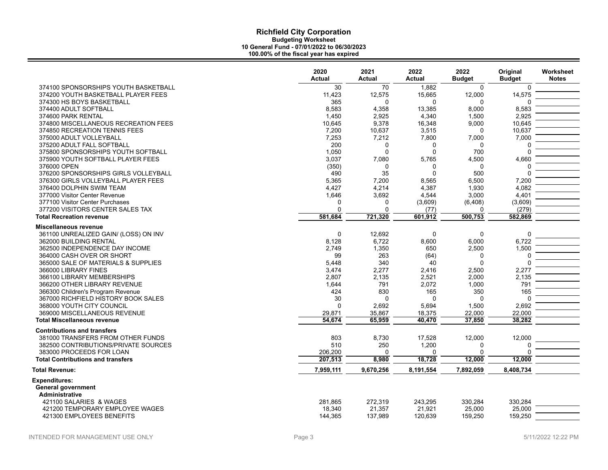|                                                                           | 2020           | 2021          | 2022            | 2022                 | Original         | Worksheet    |
|---------------------------------------------------------------------------|----------------|---------------|-----------------|----------------------|------------------|--------------|
|                                                                           | <b>Actual</b>  | <b>Actual</b> | Actual          | <b>Budget</b>        | <b>Budget</b>    | <b>Notes</b> |
| 374100 SPONSORSHIPS YOUTH BASKETBALL                                      | 30             | 70            | 1.882           | $\Omega$             | $\Omega$         |              |
| 374200 YOUTH BASKETBALL PLAYER FEES                                       | 11,423         | 12,575        | 15,665          | 12,000               | 14,575           |              |
| 374300 HS BOYS BASKETBALL                                                 | 365            | $\Omega$      | $\Omega$        | $\Omega$             | $\Omega$         |              |
| 374400 ADULT SOFTBALL                                                     | 8,583          | 4,358         | 13,385          | 8,000                | 8,583            |              |
| 374600 PARK RENTAL                                                        | 1,450          | 2,925         | 4,340           | 1,500                | 2,925            |              |
| 374800 MISCELLANEOUS RECREATION FEES                                      | 10,645         | 9,378         | 16,348          | 9,000                | 10,645           |              |
| 374850 RECREATION TENNIS FEES                                             | 7,200          | 10,637        | 3,515           | 0                    | 10,637           |              |
| 375000 ADULT VOLLEYBALL                                                   | 7,253          | 7,212         | 7,800           | 7,000                | 7,000            |              |
| 375200 ADULT FALL SOFTBALL                                                | 200            | 0             | $\Omega$        | $\Omega$             | $\Omega$         |              |
| 375800 SPONSORSHIPS YOUTH SOFTBALL                                        | 1,050          | 0             | $\Omega$        | 700                  | $\Omega$         |              |
| 375900 YOUTH SOFTBALL PLAYER FEES                                         | 3,037          | 7,080         | 5,765           | 4,500                | 4,660            |              |
| 376000 OPEN                                                               | (350)          | $\mathbf 0$   | $\Omega$        | $\Omega$             | $\Omega$         |              |
| 376200 SPONSORSHIPS GIRLS VOLLEYBALL                                      | 490            | 35            | $\Omega$        | 500                  | $\Omega$         |              |
| 376300 GIRLS VOLLEYBALL PLAYER FEES                                       | 5,365          | 7,200         | 8,565           | 6,500                | 7.200            |              |
| 376400 DOLPHIN SWIM TEAM                                                  | 4,427          | 4,214         | 4,387           | 1,930                | 4,082            |              |
| 377000 Visitor Center Revenue                                             | 1,646          | 3,692         | 4,544           | 3,000                | 4,401            |              |
| 377100 Visitor Center Purchases                                           | 0<br>0         | 0<br>0        | (3,609)         | (6, 408)<br>$\Omega$ | (3,609)          |              |
| 377200 VISITORS CENTER SALES TAX<br><b>Total Recreation revenue</b>       | 581,684        | 721,320       | (77)<br>601,912 | 500,753              | (279)<br>582,869 |              |
|                                                                           |                |               |                 |                      |                  |              |
| Miscellaneous revenue                                                     |                |               |                 |                      |                  |              |
| 361100 UNREALIZED GAIN/ (LOSS) ON INV                                     | 0              | 12,692        | $\Omega$        | $\mathbf 0$          | $\Omega$         |              |
| 362000 BUILDING RENTAL                                                    | 8,128          | 6,722         | 8,600           | 6,000                | 6,722            |              |
| 362500 INDEPENDENCE DAY INCOME                                            | 2,749          | 1,350         | 650             | 2,500                | 1,500            |              |
| 364000 CASH OVER OR SHORT                                                 | 99             | 263           | (64)            | $\Omega$             | $\Omega$         |              |
| 365000 SALE OF MATERIALS & SUPPLIES                                       | 5,448          | 340           | 40              | $\Omega$             | $\Omega$         |              |
| 366000 LIBRARY FINES<br>366100 LIBRARY MEMBERSHIPS                        | 3,474<br>2,807 | 2,277         | 2,416<br>2,521  | 2,500                | 2,277<br>2,135   |              |
| 366200 OTHER LIBRARY REVENUE                                              |                | 2,135<br>791  |                 | 2,000                | 791              |              |
| 366300 Children's Program Revenue                                         | 1,644<br>424   | 830           | 2,072<br>165    | 1,000<br>350         | 165              |              |
| 367000 RICHFIELD HISTORY BOOK SALES                                       | 30             | $\Omega$      | $\Omega$        | $\Omega$             | $\Omega$         |              |
| 368000 YOUTH CITY COUNCIL                                                 | 0              | 2,692         | 5,694           | 1,500                | 2,692            |              |
| 369000 MISCELLANEOUS REVENUE                                              | 29,871         | 35,867        | 18,375          | 22,000               | 22,000           |              |
| <b>Total Miscellaneous revenue</b>                                        | 54,674         | 65,959        | 40,470          | 37,850               | 38,282           |              |
|                                                                           |                |               |                 |                      |                  |              |
| <b>Contributions and transfers</b>                                        |                |               |                 |                      |                  |              |
| 381000 TRANSFERS FROM OTHER FUNDS<br>382500 CONTRIBUTIONS/PRIVATE SOURCES | 803<br>510     | 8,730<br>250  | 17,528<br>1,200 | 12,000<br>0          | 12,000<br>O      |              |
| 383000 PROCEEDS FOR LOAN                                                  | 206,200        | $\Omega$      | $\Omega$        | $\Omega$             | O                |              |
| <b>Total Contributions and transfers</b>                                  | 207,513        | 8,980         | 18,728          | 12,000               | 12,000           |              |
|                                                                           |                |               |                 |                      |                  |              |
| <b>Total Revenue:</b>                                                     | 7,959,111      | 9,670,256     | 8,191,554       | 7,892,059            | 8,408,734        |              |
| <b>Expenditures:</b>                                                      |                |               |                 |                      |                  |              |
| General government                                                        |                |               |                 |                      |                  |              |
| Administrative                                                            |                |               |                 |                      |                  |              |
| 421100 SALARIES & WAGES                                                   | 281,865        | 272,319       | 243,295         | 330,284              | 330,284          |              |
| 421200 TEMPORARY EMPLOYEE WAGES                                           | 18,340         | 21,357        | 21,921          | 25,000               | 25,000           |              |
| 421300 EMPLOYEES BENEFITS                                                 | 144,365        | 137,989       | 120,639         | 159,250              | 159,250          |              |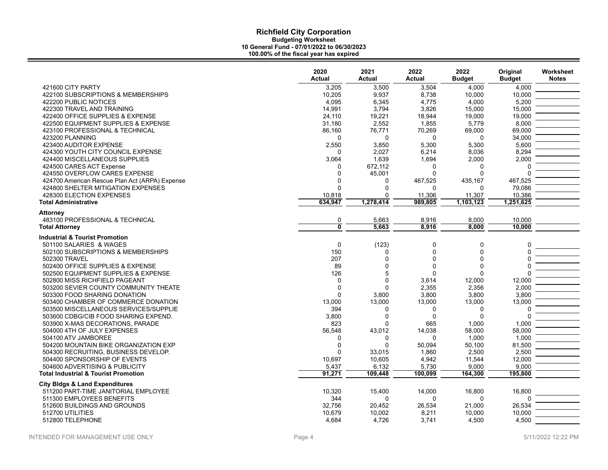|                                                                       | 2020<br><b>Actual</b>   | 2021<br>Actual          | 2022<br>Actual    | 2022<br><b>Budget</b> | Original<br><b>Budget</b> | Worksheet<br><b>Notes</b> |
|-----------------------------------------------------------------------|-------------------------|-------------------------|-------------------|-----------------------|---------------------------|---------------------------|
| 421600 CITY PARTY                                                     | 3,205                   | 3.500                   | 3,504             | 4.000                 | 4.000                     |                           |
| 422100 SUBSCRIPTIONS & MEMBERSHIPS                                    | 10,205                  | 9,937                   | 8,738             | 10,000                | 10,000                    |                           |
| 422200 PUBLIC NOTICES                                                 | 4,095                   | 6,345                   | 4,775             | 4,000                 | 5,200                     |                           |
| 422300 TRAVEL AND TRAINING                                            | 14,991                  | 3,794                   | 3,826             | 15,000                | 15,000                    |                           |
| 422400 OFFICE SUPPLIES & EXPENSE                                      | 24,110                  | 19,221                  | 18,944            | 19,000                | 19,000                    |                           |
| 422500 EQUIPMENT SUPPLIES & EXPENSE                                   | 31,180                  | 2,552                   | 1,855             | 5,779                 | 8,000                     |                           |
| 423100 PROFESSIONAL & TECHNICAL                                       | 86,160                  | 76,771                  | 70,269            | 69,000                | 69,000                    |                           |
| 423200 PLANNING                                                       | $\Omega$                | $\Omega$                | $\Omega$          | 0                     | 34,000                    |                           |
| 423400 AUDITOR EXPENSE                                                | 2,550                   | 3,850                   | 5,300             | 5,300                 | 5,600                     |                           |
| 424300 YOUTH CITY COUNCIL EXPENSE                                     | $\Omega$                | 2,027                   | 6,214             | 8,036                 | 8,294                     |                           |
| 424400 MISCELLANEOUS SUPPLIES                                         | 3,064                   | 1,639                   | 1,694<br>$\Omega$ | 2,000                 | 2,000                     |                           |
| 424500 CARES ACT Expense<br>424550 OVERFLOW CARES EXPENSE             | 0<br>$\mathbf 0$        | 672,112<br>45,001       | $\Omega$          | 0<br>$\mathbf{0}$     | $\Omega$                  |                           |
| 424700 American Rescue Plan Act (ARPA) Expense                        | $\Omega$                | $\Omega$                | 467,525           | 435,167               | 467,525                   |                           |
| 424800 SHELTER MITIGATION EXPENSES                                    | $\Omega$                | $\Omega$                | $\Omega$          | 0                     | 79,086                    |                           |
| 428300 ELECTION EXPENSES                                              | 10,818                  | $\Omega$                | 11,306            | 11,307                | 10,386                    |                           |
| <b>Total Administrative</b>                                           | 634,947                 | 1,278,414               | 989,805           | 1,103,123             | 1,251,625                 |                           |
|                                                                       |                         |                         |                   |                       |                           |                           |
| Attorney                                                              |                         |                         |                   |                       |                           |                           |
| 483100 PROFESSIONAL & TECHNICAL                                       | $\frac{0}{\mathbf{0}}$  | 5,663                   | 8,916             | 8,000                 | 10,000                    |                           |
| <b>Total Attorney</b>                                                 |                         | 5,663                   | 8,916             | 8,000                 | 10,000                    |                           |
| <b>Industrial &amp; Tourist Promotion</b>                             |                         |                         |                   |                       |                           |                           |
| 501100 SALARIES & WAGES                                               | $\mathbf 0$             | (123)                   | $\mathbf 0$       | 0                     | 0                         |                           |
| 502100 SUBSCRIPTIONS & MEMBERSHIPS                                    | 150                     | $\Omega$                | 0                 | 0                     | $\Omega$                  |                           |
| 502300 TRAVEL                                                         | 207                     | $\Omega$                | $\Omega$          | $\Omega$              | U                         |                           |
| 502400 OFFICE SUPPLIES & EXPENSE                                      | 89                      | $\Omega$                | $\Omega$          | $\mathbf 0$           | $\Omega$                  |                           |
| 502500 EQUIPMENT SUPPLIES & EXPENSE                                   | 126                     | 5                       | $\Omega$          | 0                     |                           |                           |
| 502800 MISS RICHFIELD PAGEANT                                         | $\mathbf 0$             | $\mathbf 0$<br>$\Omega$ | 3,614             | 12,000                | 12,000                    |                           |
| 503200 SEVIER COUNTY COMMUNITY THEATE<br>503300 FOOD SHARING DONATION | $\mathbf 0$<br>$\Omega$ | 3,800                   | 2,355<br>3,800    | 2,356<br>3,800        | 2,000<br>3,800            |                           |
| 503400 CHAMBER OF COMMERCE DONATION                                   | 13,000                  | 13,000                  | 13,000            | 13,000                | 13,000                    |                           |
| 503500 MISCELLANEOUS SERVICES/SUPPLIE                                 | 394                     | $\mathbf{0}$            | $\mathbf{0}$      | 0                     | O                         |                           |
| 503600 CDBG/CIB FOOD SHARING EXPEND.                                  | 3,800                   | $\Omega$                | $\Omega$          | $\Omega$              | $\Omega$                  |                           |
| 503900 X-MAS DECORATIONS, PARADE                                      | 823                     | $\Omega$                | 665               | 1,000                 | 1,000                     |                           |
| 504000 4TH OF JULY EXPENSES                                           | 56,548                  | 43,012                  | 14,038            | 58,000                | 58,000                    |                           |
| 504100 ATV JAMBOREE                                                   | 0                       | $\Omega$                | $\Omega$          | 1,000                 | 1,000                     |                           |
| 504200 MOUNTAIN BIKE ORGANIZATION EXP                                 | $\mathbf 0$             | $\Omega$                | 50,094            | 50,100                | 81,500                    |                           |
| 504300 RECRUITING, BUSINESS DEVELOP.                                  | $\Omega$                | 33,015                  | 1,860             | 2,500                 | 2,500                     |                           |
| 504400 SPONSORSHIP OF EVENTS                                          | 10,697                  | 10.605                  | 4,942             | 11,544                | 12,000                    |                           |
| 504600 ADVERTISING & PUBLICITY                                        | 5,437                   | 6,132                   | 5,730             | 9,000                 | 9,000                     |                           |
| <b>Total Industrial &amp; Tourist Promotion</b>                       | 91,271                  | 109,448                 | 100,099           | 164,300               | 195,800                   |                           |
| <b>City Bidgs &amp; Land Expenditures</b>                             |                         |                         |                   |                       |                           |                           |
| 511200 PART-TIME JANITORIAL EMPLOYEE                                  | 10,320                  | 15,400                  | 14,000            | 16,800                | 16,800                    |                           |
| 511300 EMPLOYEES BENEFITS                                             | 344                     | $\Omega$                | $\Omega$          | $\Omega$              | U                         |                           |
| 512600 BUILDINGS AND GROUNDS                                          | 32.756                  | 20.452                  | 26,534            | 21,000                | 26.534                    |                           |
| 512700 UTILITIES                                                      | 10,679                  | 10,002                  | 8,211             | 10,000                | 10,000                    |                           |
| 512800 TELEPHONE                                                      | 4,684                   | 4,726                   | 3,741             | 4,500                 | 4,500                     |                           |
|                                                                       |                         |                         |                   |                       |                           |                           |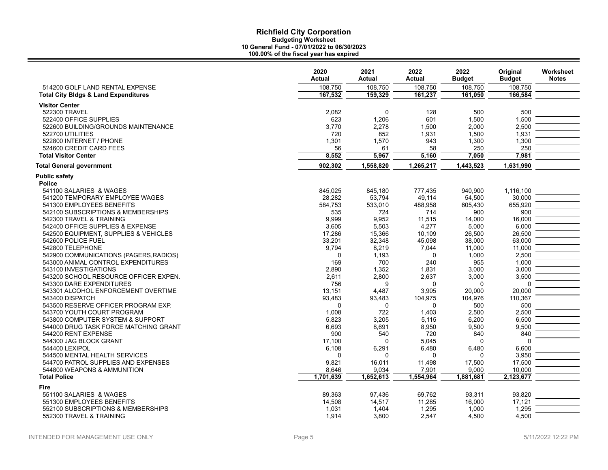|                                                        | 2020<br><b>Actual</b> | 2021<br><b>Actual</b> | 2022<br><b>Actual</b> | 2022<br><b>Budget</b> | Original<br><b>Budget</b> | Worksheet<br><b>Notes</b> |
|--------------------------------------------------------|-----------------------|-----------------------|-----------------------|-----------------------|---------------------------|---------------------------|
| 514200 GOLF LAND RENTAL EXPENSE                        | 108,750               | 108,750               | 108,750               | 108,750               | 108,750                   |                           |
| <b>Total City Bldgs &amp; Land Expenditures</b>        | 167,532               | 159,329               | 161,237               | 161,050               | 166,584                   |                           |
| <b>Visitor Center</b>                                  |                       |                       |                       |                       |                           |                           |
| 522300 TRAVEL                                          | 2,082                 | $\mathbf 0$           | 128                   | 500                   | 500                       |                           |
| 522400 OFFICE SUPPLIES                                 | 623                   | 1,206                 | 601                   | 1,500                 | 1,500                     |                           |
| 522600 BUILDING/GROUNDS MAINTENANCE                    | 3,770                 | 2,278                 | 1,500                 | 2,000                 | 2,500                     |                           |
| 522700 UTILITIES                                       | 720                   | 852                   | 1,931                 | 1,500                 | 1,931                     |                           |
| 522800 INTERNET / PHONE                                | 1,301                 | 1,570                 | 943                   | 1,300                 | 1,300                     |                           |
| 524600 CREDIT CARD FEES                                | 56                    | 61                    | 58                    | 250                   | 250                       |                           |
| <b>Total Visitor Center</b>                            | 8,552                 | 5,967                 | 5,160                 | 7,050                 | 7,981                     |                           |
| <b>Total General government</b>                        | 902,302               | 1,558,820             | 1,265,217             | 1,443,523             | 1,631,990                 |                           |
| <b>Public safety</b>                                   |                       |                       |                       |                       |                           |                           |
| <b>Police</b>                                          |                       |                       |                       |                       |                           |                           |
| 541100 SALARIES & WAGES                                | 845,025               | 845,180               | 777,435               | 940,900               | 1,116,100                 |                           |
| 541200 TEMPORARY EMPLOYEE WAGES                        | 28,282                | 53,794                | 49.114                | 54,500                | 30.000                    |                           |
| 541300 EMPLOYEES BENEFITS                              | 584,753               | 533,010               | 488,958               | 605,430               | 655,920                   |                           |
| 542100 SUBSCRIPTIONS & MEMBERSHIPS                     | 535                   | 724                   | 714                   | 900                   | 900                       |                           |
| 542300 TRAVEL & TRAINING                               | 9,999                 | 9,952                 | 11,515                | 14,000                | 16,000                    |                           |
| 542400 OFFICE SUPPLIES & EXPENSE                       | 3,605                 | 5,503                 | 4,277                 | 5,000                 | 6,000                     |                           |
| 542500 EQUIPMENT, SUPPLIES & VEHICLES                  | 17,286                | 15,366                | 10,109                | 26,500                | 26,500                    |                           |
| 542600 POLICE FUEL                                     | 33,201                | 32,348                | 45,098                | 38,000                | 63,000                    |                           |
| 542800 TELEPHONE                                       | 9,794                 | 8,219                 | 7,044                 | 11,000                | 11,000                    |                           |
| 542900 COMMUNICATIONS (PAGERS, RADIOS)                 | $\mathbf 0$           | 1,193                 | 0                     | 1,000                 | 2,500                     |                           |
| 543000 ANIMAL CONTROL EXPENDITURES                     | 169                   | 700                   | 240                   | 955                   | 1,000                     |                           |
| 543100 INVESTIGATIONS                                  | 2,890                 | 1,352                 | 1,831                 | 3,000                 | 3,000                     |                           |
| 543200 SCHOOL RESOURCE OFFICER EXPEN.                  | 2,611                 | 2,800                 | 2,637                 | 3,000                 | 3,500<br>$\Omega$         |                           |
| 543300 DARE EXPENDITURES                               | 756                   | 9                     | 0                     | $\Omega$              | 20,000                    |                           |
| 543301 ALCOHOL ENFORCEMENT OVERTIME<br>543400 DISPATCH | 13,151<br>93,483      | 4,487<br>93,483       | 3,905<br>104,975      | 20,000<br>104,976     | 110,367                   |                           |
| 543500 RESERVE OFFICER PROGRAM EXP.                    | $\Omega$              | $\mathbf 0$           | 0                     | 500                   | 500                       |                           |
| 543700 YOUTH COURT PROGRAM                             | 1,008                 | 722                   | 1,403                 | 2,500                 | 2,500                     |                           |
| 543800 COMPUTER SYSTEM & SUPPORT                       | 5,823                 | 3,205                 | 5,115                 | 6,200                 | 6,500                     |                           |
| 544000 DRUG TASK FORCE MATCHING GRANT                  | 6,693                 | 8,691                 | 8,950                 | 9,500                 | 9,500                     |                           |
| 544200 RENT EXPENSE                                    | 900                   | 540                   | 720                   | 840                   | 840                       |                           |
| 544300 JAG BLOCK GRANT                                 | 17,100                | $\Omega$              | 5,045                 | $\Omega$              | $\Omega$                  |                           |
| 544400 LEXIPOL                                         | 6,108                 | 6,291                 | 6,480                 | 6,480                 | 6,600                     |                           |
| 544500 MENTAL HEALTH SERVICES                          | $\Omega$              | 0                     | 0                     | 0                     | 3,950                     |                           |
| 544700 PATROL SUPPLIES AND EXPENSES                    | 9,821                 | 16,011                | 11,498                | 17,500                | 17,500                    |                           |
| 544800 WEAPONS & AMMUNITION                            | 8,646                 | 9,034                 | 7,901                 | 9,000                 | 10,000                    |                           |
| <b>Total Police</b>                                    | 1,701,639             | 1,652,613             | 1,554,964             | 1,881,681             | 2,123,677                 |                           |
| Fire                                                   |                       |                       |                       |                       |                           |                           |
| 551100 SALARIES & WAGES                                | 89,363                | 97,436                | 69,762                | 93,311                | 93,820                    |                           |
| 551300 EMPLOYEES BENEFITS                              | 14,508                | 14,517                | 11,285                | 16,000                | 17,121                    |                           |
| 552100 SUBSCRIPTIONS & MEMBERSHIPS                     | 1,031                 | 1,404                 | 1,295                 | 1.000                 | 1,295                     |                           |
| 552300 TRAVEL & TRAINING                               | 1,914                 | 3,800                 | 2.547                 | 4.500                 | 4.500                     |                           |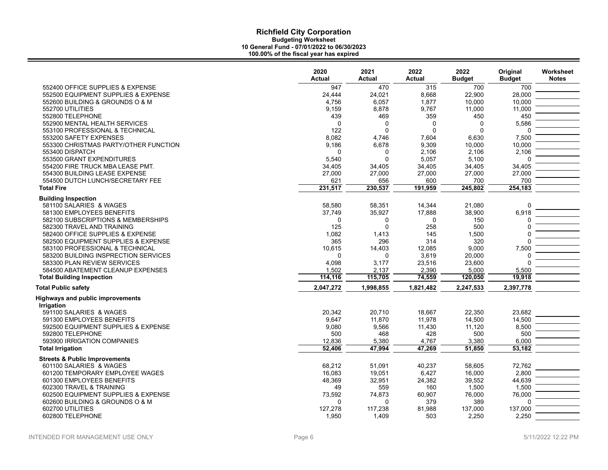|                                                       | 2020<br><b>Actual</b> | 2021<br>Actual | 2022<br><b>Actual</b> | 2022<br><b>Budget</b> | Original<br><b>Budget</b> | Worksheet<br><b>Notes</b> |
|-------------------------------------------------------|-----------------------|----------------|-----------------------|-----------------------|---------------------------|---------------------------|
| 552400 OFFICE SUPPLIES & EXPENSE                      | 947                   | 470            | 315                   | 700                   | 700                       |                           |
| 552500 EQUIPMENT SUPPLIES & EXPENSE                   | 24,444                | 24,021         | 8,668                 | 22,900                | 28,000                    |                           |
| 552600 BUILDING & GROUNDS O & M                       | 4,756                 | 6,057          | 1,877                 | 10,000                | 10,000                    |                           |
| 552700 UTILITIES                                      | 9,159                 | 8,878          | 9,767                 | 11,000                | 11,000                    |                           |
| 552800 TELEPHONE                                      | 439                   | 469            | 359                   | 450                   | 450                       |                           |
| 552900 MENTAL HEALTH SERVICES                         | $\Omega$              | $\Omega$       | 0                     | $\Omega$              | 5,586                     |                           |
| 553100 PROFESSIONAL & TECHNICAL                       | 122                   | $\Omega$       | $\mathbf 0$           | $\Omega$              | $\Omega$                  |                           |
| 553200 SAFETY EXPENSES                                | 8,082                 | 4,746          | 7,604                 | 6,630                 | 7,500                     |                           |
| 553300 CHRISTMAS PARTY/OTHER FUNCTION                 | 9,186                 | 6,678          | 9,309                 | 10,000                | 10,000                    |                           |
| 553400 DISPATCH                                       | $\Omega$              | 0              | 2,106                 | 2,106                 | 2,106                     |                           |
| 553500 GRANT EXPENDITURES                             | 5,540                 | $\Omega$       | 5,057                 | 5,100                 | $\Omega$                  |                           |
| 554200 FIRE TRUCK MBA LEASE PMT.                      | 34,405                | 34,405         | 34,405                | 34,405                | 34,405                    |                           |
| 554300 BUILDING LEASE EXPENSE                         | 27,000                | 27,000         | 27,000                | 27,000                | 27,000                    |                           |
| 554500 DUTCH LUNCH/SECRETARY FEE                      | 621                   | 656            | 600                   | 700                   | 700                       |                           |
| <b>Total Fire</b>                                     | 231,517               | 230,537        | 191,959               | 245,802               | 254,183                   |                           |
| <b>Building Inspection</b>                            |                       |                |                       |                       |                           |                           |
| 581100 SALARIES & WAGES                               | 58,580                | 58,351         | 14,344                | 21,080                | $\Omega$                  |                           |
| 581300 EMPLOYEES BENEFITS                             | 37,749                | 35,927         | 17,888                | 38,900                | 6,918                     |                           |
| 582100 SUBSCRIPTIONS & MEMBERSHIPS                    | 0                     | $\mathbf 0$    | 0                     | 150                   | $\Omega$                  |                           |
| 582300 TRAVEL AND TRAINING                            | 125                   | $\Omega$       | 258                   | 500                   | $\Omega$                  |                           |
| 582400 OFFICE SUPPLIES & EXPENSE                      | 1,082                 | 1,413          | 145                   | 1,500                 | $\Omega$                  |                           |
| 582500 EQUIPMENT SUPPLIES & EXPENSE                   | 365                   | 296            | 314                   | 320                   | $\Omega$                  |                           |
| 583100 PROFESSIONAL & TECHNICAL                       | 10,615                | 14,403         | 12,085                | 9,000                 | 7,500                     |                           |
| 583200 BUILDING INSPRECTION SERVICES                  | $\Omega$              | $\Omega$       | 3,619                 | 20,000                |                           |                           |
| 583300 PLAN REVIEW SERVICES                           | 4,098                 | 3,177          | 23,516                | 23,600                |                           |                           |
| 584500 ABATEMENT CLEANUP EXPENSES                     | 1,502                 | 2,137          | 2,390                 | 5,000                 | 5,500                     |                           |
| <b>Total Building Inspection</b>                      | 114,116               | 115,705        | 74,559                | 120,050               | 19,918                    |                           |
| <b>Total Public safety</b>                            | 2,047,272             | 1,998,855      | 1,821,482             | 2,247,533             | 2,397,778                 |                           |
| <b>Highways and public improvements</b><br>Irrigation |                       |                |                       |                       |                           |                           |
| 591100 SALARIES & WAGES                               | 20,342                | 20,710         | 18,667                | 22,350                | 23,682                    |                           |
| 591300 EMPLOYEES BENEFITS                             | 9,647                 | 11,870         | 11,978                | 14,500                | 14,500                    |                           |
| 592500 EQUIPMENT SUPPLIES & EXPENSE                   | 9,080                 | 9,566          | 11,430                | 11,120                | 8,500                     |                           |
| 592800 TELEPHONE                                      | 500                   | 468            | 428                   | 500                   | 500                       |                           |
| 593900 IRRIGATION COMPANIES                           | 12,836                | 5,380          | 4,767                 | 3,380                 | 6.000                     |                           |
| <b>Total Irrigation</b>                               | 52,406                | 47,994         | 47,269                | 51,850                | 53,182                    |                           |
| <b>Streets &amp; Public Improvements</b>              |                       |                |                       |                       |                           |                           |
| 601100 SALARIES & WAGES                               | 68,212                | 51.091         | 40,237                | 58.605                | 72,762                    |                           |
| 601200 TEMPORARY EMPLOYEE WAGES                       | 16,083                | 19,051         | 6,427                 | 16,000                | 2,800                     |                           |
| 601300 EMPLOYEES BENEFITS                             | 48,369                | 32,951         | 24,382                | 39,552                | 44,639                    |                           |
| 602300 TRAVEL & TRAINING                              | 49                    | 559            | 160                   | 1,500                 | 1,500                     |                           |
| 602500 EQUIPMENT SUPPLIES & EXPENSE                   | 73,592                | 74,873         | 60,907                | 76,000                | 76,000                    |                           |
| 602600 BUILDING & GROUNDS O & M                       | $\Omega$              | $\Omega$       | 379                   | 389                   | $\Omega$                  |                           |
| 602700 UTILITIES                                      | 127,278               | 117,238        | 81,988                | 137,000               | 137,000                   |                           |
| 602800 TELEPHONE                                      | 1.950                 | 1.409          | 503                   | 2.250                 | 2.250                     |                           |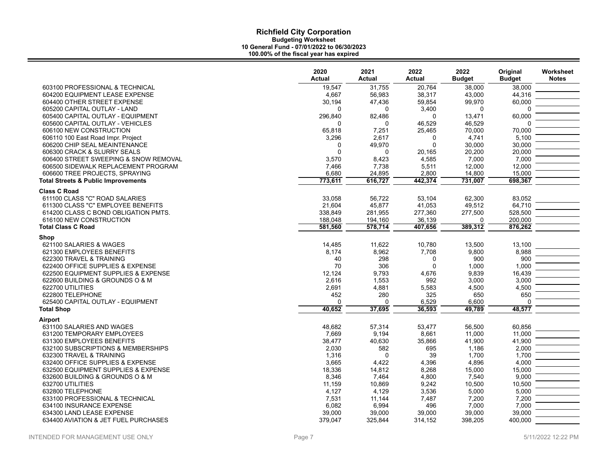|                                                | 2020<br><b>Actual</b> | 2021<br><b>Actual</b> | 2022<br><b>Actual</b> | 2022<br><b>Budget</b> | Original<br><b>Budget</b> | Worksheet<br><b>Notes</b> |
|------------------------------------------------|-----------------------|-----------------------|-----------------------|-----------------------|---------------------------|---------------------------|
| 603100 PROFESSIONAL & TECHNICAL                | 19,547                | 31,755                | 20,764                | 38,000                | 38,000                    |                           |
| 604200 EQUIPMENT LEASE EXPENSE                 | 4,667                 | 56,983                | 38,317                | 43,000                | 44,316                    |                           |
| 604400 OTHER STREET EXPENSE                    | 30,194                | 47,436                | 59,854                | 99,970                | 60,000                    |                           |
| 605200 CAPITAL OUTLAY - LAND                   | $\Omega$              | <sup>0</sup>          | 3,400                 | 0                     | O                         |                           |
| 605400 CAPITAL OUTLAY - EQUIPMENT              | 296,840               | 82,486                | $\Omega$              | 13,471                | 60,000                    |                           |
| 605600 CAPITAL OUTLAY - VEHICLES               | $\Omega$              | $\Omega$              | 46,529                | 46,529                | O                         |                           |
| 606100 NEW CONSTRUCTION                        | 65,818                | 7,251                 | 25,465                | 70,000                | 70,000                    |                           |
| 606110 100 East Road Impr. Project             | 3,296                 | 2.617                 | $\mathbf 0$           | 4,741                 | 5,100                     |                           |
| 606200 CHIP SEAL MEAINTENANCE                  | $\Omega$              | 49.970                | $\Omega$              | 30,000                | 30,000                    |                           |
| 606300 CRACK & SLURRY SEALS                    | $\mathbf 0$           | 0                     | 20,165                | 20,200                | 20,000                    |                           |
| 606400 STREET SWEEPING & SNOW REMOVAL          | 3,570                 | 8,423                 | 4,585                 | 7,000                 | 7,000                     |                           |
| 606500 SIDEWALK REPLACEMENT PROGRAM            | 7,466                 | 7,738                 | 5,511                 | 12,000                | 12,000                    |                           |
| 606600 TREE PROJECTS, SPRAYING                 | 6,680                 | 24,895                | 2,800                 | 14,800                | 15,000                    |                           |
| <b>Total Streets &amp; Public Improvements</b> | 773,611               | 616,727               | 442,374               | 731,007               | 698,367                   |                           |
| <b>Class C Road</b>                            |                       |                       |                       |                       |                           |                           |
| 611100 CLASS "C" ROAD SALARIES                 | 33,058                | 56,722                | 53,104                | 62,300                | 83,052                    |                           |
| 611300 CLASS "C" EMPLOYEE BENEFITS             | 21,604                | 45,877                | 41,053                | 49,512                | 64,710                    |                           |
| 614200 CLASS C BOND OBLIGATION PMTS.           | 338,849               |                       | 277,360               |                       | 528,500                   |                           |
| 616100 NEW CONSTRUCTION                        | 188,048               | 281,955<br>194,160    | 36,139                | 277,500<br>0          | 200,000                   |                           |
| <b>Total Class C Road</b>                      | 581,560               | 578,714               | 407,656               | 389,312               | 876,262                   |                           |
|                                                |                       |                       |                       |                       |                           |                           |
| Shop                                           |                       |                       |                       |                       |                           |                           |
| 621100 SALARIES & WAGES                        | 14,485                | 11,622                | 10,780                | 13,500                | 13,100                    |                           |
| 621300 EMPLOYEES BENEFITS                      | 8,174                 | 8,962                 | 7,708                 | 9,800                 | 8,988                     |                           |
| 622300 TRAVEL & TRAINING                       | 40                    | 298                   | $\Omega$              | 900                   | 900                       |                           |
| 622400 OFFICE SUPPLIES & EXPENSE               | 70                    | 306                   | $\Omega$              | 1,000                 | 1,000                     |                           |
| 622500 EQUIPMENT SUPPLIES & EXPENSE            | 12,124                | 9,793                 | 4,676                 | 9,839                 | 16,439                    |                           |
| 622600 BUILDING & GROUNDS O & M                | 2,616                 | 1,553                 | 992                   | 3,000                 | 3,000                     |                           |
| 622700 UTILITIES                               | 2,691                 | 4,881                 | 5,583                 | 4,500                 | 4,500                     |                           |
| 622800 TELEPHONE                               | 452                   | 280                   | 325                   | 650                   | 650                       |                           |
| 625400 CAPITAL OUTLAY - EQUIPMENT              | $\mathbf 0$           | $\Omega$              | 6,529                 | 6,600                 | 0                         |                           |
| <b>Total Shop</b>                              | 40,652                | 37,695                | 36.593                | 49.789                | 48,577                    |                           |
| <b>Airport</b>                                 |                       |                       |                       |                       |                           |                           |
| 631100 SALARIES AND WAGES                      | 48,682                | 57,314                | 53.477                | 56,500                | 60.856                    |                           |
| 631200 TEMPORARY EMPLOYEES                     | 7,669                 | 9,194                 | 8,661                 | 11,000                | 11,000                    |                           |
| 631300 EMPLOYEES BENEFITS                      | 38,477                | 40,630                | 35,866                | 41,900                | 41,900                    |                           |
| 632100 SUBSCRIPTIONS & MEMBERSHIPS             | 2,030                 | 582                   | 695                   | 1,186                 | 2,000                     |                           |
| 632300 TRAVEL & TRAINING                       | 1,316                 | $\Omega$              | 39                    | 1,700                 | 1,700                     |                           |
| 632400 OFFICE SUPPLIES & EXPENSE               | 3,665                 | 4,422                 | 4,396                 | 4,896                 | 4,000                     |                           |
| 632500 EQUIPMENT SUPPLIES & EXPENSE            | 18,336                | 14,812                | 8,268                 | 15,000                | 15,000                    |                           |
| 632600 BUILDING & GROUNDS O & M                | 8,346                 | 7,464                 | 4,800                 | 7,540                 | 9,000                     |                           |
| 632700 UTILITIES                               | 11,159                | 10,869                | 9,242                 | 10,500                | 10,500                    |                           |
| 632800 TELEPHONE                               | 4,127                 | 4,129                 | 3,536                 | 5,000                 | 5,000                     |                           |
| 633100 PROFESSIONAL & TECHNICAL                | 7,531                 | 11,144                | 7,487                 | 7,200                 | 7,200                     |                           |
| 634100 INSURANCE EXPENSE                       | 6,082                 | 6,994                 | 496                   | 7,000                 | 7,000                     |                           |
| 634300 LAND LEASE EXPENSE                      | 39,000                | 39,000                | 39,000                | 39,000                | 39,000                    |                           |
| 634400 AVIATION & JET FUEL PURCHASES           | 379.047               | 325.844               | 314,152               | 398,205               | 400,000                   |                           |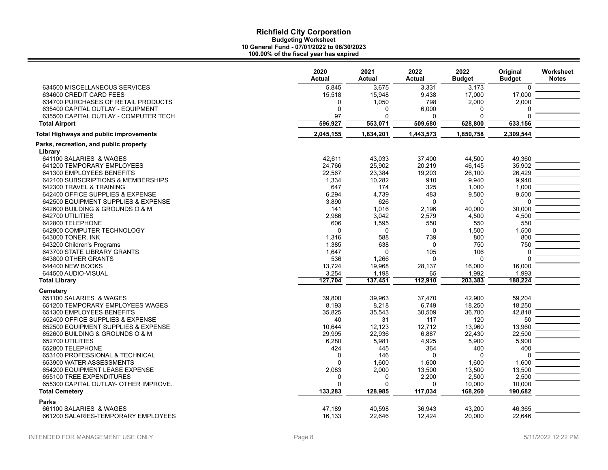|                                                   | 2020<br><b>Actual</b> | 2021<br><b>Actual</b> | 2022<br><b>Actual</b> | 2022<br><b>Budget</b> | Original<br><b>Budget</b> | Worksheet<br><b>Notes</b> |
|---------------------------------------------------|-----------------------|-----------------------|-----------------------|-----------------------|---------------------------|---------------------------|
| 634500 MISCELLANEOUS SERVICES                     | 5,845                 | 3.675                 | 3,331                 | 3.173                 | $\mathbf 0$               |                           |
| 634600 CREDIT CARD FEES                           | 15,518                | 15,948                | 9,438                 | 17,000                | 17,000                    |                           |
| 634700 PURCHASES OF RETAIL PRODUCTS               | 0                     | 1,050                 | 798                   | 2,000                 | 2,000                     |                           |
| 635400 CAPITAL OUTLAY - EQUIPMENT                 | $\mathbf 0$           | $\Omega$              | 6,000                 | $\Omega$              | 0                         |                           |
| 635500 CAPITAL OUTLAY - COMPUTER TECH             | 97                    | $\Omega$              | 0                     | $\Omega$              | $\Omega$                  |                           |
| <b>Total Airport</b>                              | 596,927               | 553,071               | 509,680               | 628,800               | 633,156                   |                           |
| <b>Total Highways and public improvements</b>     | 2,045,155             | 1,834,201             | 1,443,573             | 1,850,758             | 2,309,544                 |                           |
| Parks, recreation, and public property<br>Library |                       |                       |                       |                       |                           |                           |
| 641100 SALARIES & WAGES                           | 42,611                | 43,033                | 37,400                | 44,500                | 49,360                    |                           |
| 641200 TEMPORARY EMPLOYEES                        | 24,766                | 25,902                | 20,219                | 46,145                | 35,902                    |                           |
| 641300 EMPLOYEES BENEFITS                         | 22,567                | 23,384                | 19,203                | 26,100                | 26,429                    |                           |
| 642100 SUBSCRIPTIONS & MEMBERSHIPS                | 1,334                 | 10,282                | 910                   | 9,940                 | 9,940                     |                           |
| 642300 TRAVEL & TRAINING                          | 647                   | 174                   | 325                   | 1,000                 | 1,000                     |                           |
| 642400 OFFICE SUPPLIES & EXPENSE                  | 6,294                 | 4,739                 | 483                   | 9,500                 | 9,500                     |                           |
| 642500 EQUIPMENT SUPPLIES & EXPENSE               | 3,890                 | 626                   | 0                     | $\mathbf 0$           | 0                         |                           |
| 642600 BUILDING & GROUNDS O & M                   | 141                   | 1,016                 | 2,196                 | 40,000                | 30,000                    |                           |
| 642700 UTILITIES                                  | 2,986                 | 3,042                 | 2,579                 | 4,500                 | 4,500                     |                           |
| 642800 TELEPHONE                                  | 606                   | 1,595                 | 550                   | 550                   | 550                       |                           |
| 642900 COMPUTER TECHNOLOGY                        | $\mathbf 0$           | $\Omega$              | 0                     | 1,500                 | 1,500                     |                           |
| 643000 TONER, INK                                 | 1,316                 | 588                   | 739                   | 800                   | 800                       |                           |
| 643200 Children's Programs                        | 1,385                 | 638                   | 0                     | 750                   | 750                       |                           |
| 643700 STATE LIBRARY GRANTS                       | 1,647                 | $\Omega$              | 105                   | 106                   | $\Omega$                  |                           |
| 643800 OTHER GRANTS                               | 536                   | 1,266                 | $\Omega$              | $\mathbf 0$           | $\Omega$                  |                           |
| 644400 NEW BOOKS                                  | 13,724                | 19,968                | 28,137                | 16,000                | 16,000                    |                           |
| 644500 AUDIO-VISUAL                               | 3,254                 | 1,198                 | 65                    | 1,992                 | 1,993                     |                           |
| <b>Total Library</b>                              | 127,704               | 137,451               | 112,910               | 203,383               | 188,224                   |                           |
| <b>Cemetery</b>                                   |                       |                       |                       |                       |                           |                           |
| 651100 SALARIES & WAGES                           | 39,800                | 39,963                | 37,470                | 42,900                | 59,204                    |                           |
| 651200 TEMPORARY EMPLOYEES WAGES                  | 8,193                 | 8,218                 | 6,749                 | 18,250                | 18,250                    |                           |
| 651300 EMPLOYEES BENEFITS                         | 35,825                | 35,543                | 30,509                | 36,700                | 42,818                    |                           |
| 652400 OFFICE SUPPLIES & EXPENSE                  | 40                    | 31                    | 117                   | 120                   | 50                        |                           |
| 652500 EQUIPMENT SUPPLIES & EXPENSE               | 10,644                | 12,123                | 12,712                | 13,960                | 13,960                    |                           |
| 652600 BUILDING & GROUNDS O & M                   | 29,995                | 22,936                | 6,887                 | 22,430                | 22,500                    |                           |
| 652700 UTILITIES                                  | 6,280                 | 5,981                 | 4,925                 | 5,900                 | 5,900                     |                           |
| 652800 TELEPHONE                                  | 424                   | 445                   | 364                   | 400                   | 400                       |                           |
| 653100 PROFESSIONAL & TECHNICAL                   | $\mathbf 0$           | 146                   | 0                     | $\mathbf 0$           | 0                         |                           |
| 653900 WATER ASSESSMENTS                          | $\Omega$              | 1,600                 | 1,600                 | 1,600                 | 1,600                     |                           |
| 654200 EQUIPMENT LEASE EXPENSE                    | 2,083                 | 2,000                 | 13,500                | 13,500                | 13,500                    |                           |
| 655100 TREE EXPENDITURES                          | 0                     | 0                     | 2,200                 | 2,500                 | 2,500                     |                           |
| 655300 CAPITAL OUTLAY- OTHER IMPROVE.             | $\mathbf 0$           | $\Omega$              | 0                     | 10,000                | 10,000                    |                           |
| <b>Total Cemetery</b>                             | 133,283               | 128,985               | 117,034               | 168,260               | 190,682                   |                           |
| <b>Parks</b>                                      |                       |                       |                       |                       |                           |                           |
| 661100 SALARIES & WAGES                           | 47,189                | 40,598                | 36,943                | 43,200                | 46,365                    |                           |
| 661200 SALARIES-TEMPORARY EMPLOYEES               | 16,133                | 22,646                | 12,424                | 20,000                | 22,646                    |                           |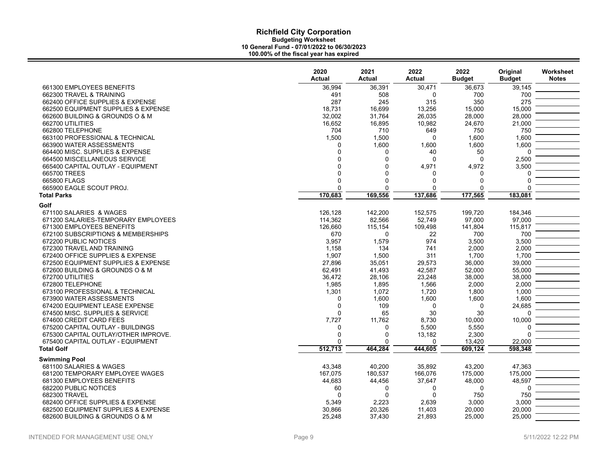| 36,994<br>36.391<br>30,471<br>36.673<br>39.145<br>661300 EMPLOYEES BENEFITS<br>700<br>662300 TRAVEL & TRAINING<br>491<br>508<br>0<br>700<br>275<br>662400 OFFICE SUPPLIES & EXPENSE<br>287<br>245<br>315<br>350<br>15,000<br>662500 EQUIPMENT SUPPLIES & EXPENSE<br>18,731<br>16.699<br>13,256<br>15,000<br>28,000<br>662600 BUILDING & GROUNDS O & M<br>32,002<br>31,764<br>26,035<br>28,000<br>662700 UTILITIES<br>16,652<br>16,895<br>10,982<br>24,670<br>21,000<br>662800 TELEPHONE<br>704<br>710<br>649<br>750<br>750<br>1,600<br>663100 PROFESSIONAL & TECHNICAL<br>1,500<br>1,500<br>1,600<br>$\Omega$<br>1,600<br>1,600<br>663900 WATER ASSESSMENTS<br>1,600<br>1,600<br>0<br>664400 MISC. SUPPLIES & EXPENSE<br>$\mathbf 0$<br>40<br>$\Omega$<br>50<br>O<br>$\Omega$<br>2,500<br>$\Omega$<br>$\mathbf 0$<br>664500 MISCELLANEOUS SERVICE<br>$\Omega$<br>$\Omega$<br>4,972<br>3,500<br>665400 CAPITAL OUTLAY - EQUIPMENT<br>$\Omega$<br>4,971<br>$\Omega$<br>665700 TREES<br>$\Omega$<br>O<br>$\Omega$<br>0<br>665800 FLAGS<br>$\Omega$<br>$\Omega$<br>0<br>$\Omega$<br>0<br>665900 EAGLE SCOUT PROJ.<br>$\Omega$<br>0<br>$\Omega$<br>$\Omega$<br>0<br>170,683<br>169,556<br>137,686<br>177,565<br>183,081<br><b>Total Parks</b><br>Golf<br>199,720<br>671100 SALARIES & WAGES<br>126,128<br>142,200<br>152,575<br>184,346<br>114,362<br>82,566<br>52,749<br>97,000<br>97,000<br>671200 SALARIES-TEMPORARY EMPLOYEES<br>115,817<br>671300 EMPLOYEES BENEFITS<br>126,660<br>115,154<br>109,498<br>141,804<br>700<br>700<br>672100 SUBSCRIPTIONS & MEMBERSHIPS<br>670<br>22<br>$\Omega$<br>672200 PUBLIC NOTICES<br>974<br>3,500<br>3,957<br>1,579<br>3,500<br>672300 TRAVEL AND TRAINING<br>2,000<br>1,158<br>134<br>741<br>2,000<br>672400 OFFICE SUPPLIES & EXPENSE<br>1,907<br>1,500<br>311<br>1,700<br>1,700<br>39,000<br>672500 EQUIPMENT SUPPLIES & EXPENSE<br>27,896<br>35,051<br>29,573<br>36,000<br>672600 BUILDING & GROUNDS O & M<br>62,491<br>41,493<br>42,587<br>52,000<br>55,000<br>672700 UTILITIES<br>36,472<br>28,106<br>23,248<br>38,000<br>38,000<br>672800 TELEPHONE<br>1,985<br>1,895<br>1,566<br>2,000<br>2,000<br>1,000<br>673100 PROFESSIONAL & TECHNICAL<br>1,301<br>1,072<br>1,720<br>1,800<br>673900 WATER ASSESSMENTS<br>1,600<br>1,600<br>1,600<br>1,600<br>$\Omega$<br>674200 EQUIPMENT LEASE EXPENSE<br>$\Omega$<br>109<br>$\Omega$<br>$\mathbf 0$<br>24,685<br>30<br>674500 MISC. SUPPLIES & SERVICE<br>$\Omega$<br>65<br>30<br>U<br>674600 CREDIT CARD FEES<br>7,727<br>8,730<br>10,000<br>10,000<br>11,762<br>675200 CAPITAL OUTLAY - BUILDINGS<br>5,500<br>5,550<br>0<br>$\Omega$<br>$\Omega$<br>2,300<br>675300 CAPITAL OUTLAY/OTHER IMPROVE.<br>$\Omega$<br>13,182<br>U<br>675400 CAPITAL OUTLAY - EQUIPMENT<br>$\Omega$<br>13,420<br>22,000<br>n<br>512,713<br><b>Total Golf</b><br>464,284<br>444,605<br>609,124<br>598,348<br><b>Swimming Pool</b><br>40,200<br>35,892<br>47,363<br>681100 SALARIES & WAGES<br>43,348<br>43,200<br>175,000<br>180.537<br>166,076<br>175,000<br>681200 TEMPORARY EMPLOYEE WAGES<br>167,075<br>48,597<br>37,647<br>681300 EMPLOYEES BENEFITS<br>44.683<br>44.456<br>48,000<br>682200 PUBLIC NOTICES<br>60<br>$\Omega$<br>0<br>0<br>0<br>682300 TRAVEL<br>$\Omega$<br>$\Omega$<br>750<br>750<br><sup>0</sup><br>3,000<br>682400 OFFICE SUPPLIES & EXPENSE<br>5,349<br>2.223<br>2,639<br>3.000<br>20,000<br>682500 EQUIPMENT SUPPLIES & EXPENSE<br>30,866<br>20,326<br>11,403<br>20,000<br>25,000<br>682600 BUILDING & GROUNDS O & M<br>25.248<br>37.430<br>21.893<br>25.000 | 2020<br><b>Actual</b> | 2021<br><b>Actual</b> | 2022<br><b>Actual</b> | 2022<br><b>Budget</b> | Original<br><b>Budget</b> | Worksheet<br><b>Notes</b> |
|---------------------------------------------------------------------------------------------------------------------------------------------------------------------------------------------------------------------------------------------------------------------------------------------------------------------------------------------------------------------------------------------------------------------------------------------------------------------------------------------------------------------------------------------------------------------------------------------------------------------------------------------------------------------------------------------------------------------------------------------------------------------------------------------------------------------------------------------------------------------------------------------------------------------------------------------------------------------------------------------------------------------------------------------------------------------------------------------------------------------------------------------------------------------------------------------------------------------------------------------------------------------------------------------------------------------------------------------------------------------------------------------------------------------------------------------------------------------------------------------------------------------------------------------------------------------------------------------------------------------------------------------------------------------------------------------------------------------------------------------------------------------------------------------------------------------------------------------------------------------------------------------------------------------------------------------------------------------------------------------------------------------------------------------------------------------------------------------------------------------------------------------------------------------------------------------------------------------------------------------------------------------------------------------------------------------------------------------------------------------------------------------------------------------------------------------------------------------------------------------------------------------------------------------------------------------------------------------------------------------------------------------------------------------------------------------------------------------------------------------------------------------------------------------------------------------------------------------------------------------------------------------------------------------------------------------------------------------------------------------------------------------------------------------------------------------------------------------------------------------------------------------------------------------------------------------------------------------------------------------------------------------------------------------------------------------------------------------------------------------------------------------------------------------------------------------------------------------------------------------------------------------------------------------------------|-----------------------|-----------------------|-----------------------|-----------------------|---------------------------|---------------------------|
|                                                                                                                                                                                                                                                                                                                                                                                                                                                                                                                                                                                                                                                                                                                                                                                                                                                                                                                                                                                                                                                                                                                                                                                                                                                                                                                                                                                                                                                                                                                                                                                                                                                                                                                                                                                                                                                                                                                                                                                                                                                                                                                                                                                                                                                                                                                                                                                                                                                                                                                                                                                                                                                                                                                                                                                                                                                                                                                                                                                                                                                                                                                                                                                                                                                                                                                                                                                                                                                                                                                                                         |                       |                       |                       |                       |                           |                           |
|                                                                                                                                                                                                                                                                                                                                                                                                                                                                                                                                                                                                                                                                                                                                                                                                                                                                                                                                                                                                                                                                                                                                                                                                                                                                                                                                                                                                                                                                                                                                                                                                                                                                                                                                                                                                                                                                                                                                                                                                                                                                                                                                                                                                                                                                                                                                                                                                                                                                                                                                                                                                                                                                                                                                                                                                                                                                                                                                                                                                                                                                                                                                                                                                                                                                                                                                                                                                                                                                                                                                                         |                       |                       |                       |                       |                           |                           |
|                                                                                                                                                                                                                                                                                                                                                                                                                                                                                                                                                                                                                                                                                                                                                                                                                                                                                                                                                                                                                                                                                                                                                                                                                                                                                                                                                                                                                                                                                                                                                                                                                                                                                                                                                                                                                                                                                                                                                                                                                                                                                                                                                                                                                                                                                                                                                                                                                                                                                                                                                                                                                                                                                                                                                                                                                                                                                                                                                                                                                                                                                                                                                                                                                                                                                                                                                                                                                                                                                                                                                         |                       |                       |                       |                       |                           |                           |
|                                                                                                                                                                                                                                                                                                                                                                                                                                                                                                                                                                                                                                                                                                                                                                                                                                                                                                                                                                                                                                                                                                                                                                                                                                                                                                                                                                                                                                                                                                                                                                                                                                                                                                                                                                                                                                                                                                                                                                                                                                                                                                                                                                                                                                                                                                                                                                                                                                                                                                                                                                                                                                                                                                                                                                                                                                                                                                                                                                                                                                                                                                                                                                                                                                                                                                                                                                                                                                                                                                                                                         |                       |                       |                       |                       |                           |                           |
|                                                                                                                                                                                                                                                                                                                                                                                                                                                                                                                                                                                                                                                                                                                                                                                                                                                                                                                                                                                                                                                                                                                                                                                                                                                                                                                                                                                                                                                                                                                                                                                                                                                                                                                                                                                                                                                                                                                                                                                                                                                                                                                                                                                                                                                                                                                                                                                                                                                                                                                                                                                                                                                                                                                                                                                                                                                                                                                                                                                                                                                                                                                                                                                                                                                                                                                                                                                                                                                                                                                                                         |                       |                       |                       |                       |                           |                           |
|                                                                                                                                                                                                                                                                                                                                                                                                                                                                                                                                                                                                                                                                                                                                                                                                                                                                                                                                                                                                                                                                                                                                                                                                                                                                                                                                                                                                                                                                                                                                                                                                                                                                                                                                                                                                                                                                                                                                                                                                                                                                                                                                                                                                                                                                                                                                                                                                                                                                                                                                                                                                                                                                                                                                                                                                                                                                                                                                                                                                                                                                                                                                                                                                                                                                                                                                                                                                                                                                                                                                                         |                       |                       |                       |                       |                           |                           |
|                                                                                                                                                                                                                                                                                                                                                                                                                                                                                                                                                                                                                                                                                                                                                                                                                                                                                                                                                                                                                                                                                                                                                                                                                                                                                                                                                                                                                                                                                                                                                                                                                                                                                                                                                                                                                                                                                                                                                                                                                                                                                                                                                                                                                                                                                                                                                                                                                                                                                                                                                                                                                                                                                                                                                                                                                                                                                                                                                                                                                                                                                                                                                                                                                                                                                                                                                                                                                                                                                                                                                         |                       |                       |                       |                       |                           |                           |
|                                                                                                                                                                                                                                                                                                                                                                                                                                                                                                                                                                                                                                                                                                                                                                                                                                                                                                                                                                                                                                                                                                                                                                                                                                                                                                                                                                                                                                                                                                                                                                                                                                                                                                                                                                                                                                                                                                                                                                                                                                                                                                                                                                                                                                                                                                                                                                                                                                                                                                                                                                                                                                                                                                                                                                                                                                                                                                                                                                                                                                                                                                                                                                                                                                                                                                                                                                                                                                                                                                                                                         |                       |                       |                       |                       |                           |                           |
|                                                                                                                                                                                                                                                                                                                                                                                                                                                                                                                                                                                                                                                                                                                                                                                                                                                                                                                                                                                                                                                                                                                                                                                                                                                                                                                                                                                                                                                                                                                                                                                                                                                                                                                                                                                                                                                                                                                                                                                                                                                                                                                                                                                                                                                                                                                                                                                                                                                                                                                                                                                                                                                                                                                                                                                                                                                                                                                                                                                                                                                                                                                                                                                                                                                                                                                                                                                                                                                                                                                                                         |                       |                       |                       |                       |                           |                           |
|                                                                                                                                                                                                                                                                                                                                                                                                                                                                                                                                                                                                                                                                                                                                                                                                                                                                                                                                                                                                                                                                                                                                                                                                                                                                                                                                                                                                                                                                                                                                                                                                                                                                                                                                                                                                                                                                                                                                                                                                                                                                                                                                                                                                                                                                                                                                                                                                                                                                                                                                                                                                                                                                                                                                                                                                                                                                                                                                                                                                                                                                                                                                                                                                                                                                                                                                                                                                                                                                                                                                                         |                       |                       |                       |                       |                           |                           |
|                                                                                                                                                                                                                                                                                                                                                                                                                                                                                                                                                                                                                                                                                                                                                                                                                                                                                                                                                                                                                                                                                                                                                                                                                                                                                                                                                                                                                                                                                                                                                                                                                                                                                                                                                                                                                                                                                                                                                                                                                                                                                                                                                                                                                                                                                                                                                                                                                                                                                                                                                                                                                                                                                                                                                                                                                                                                                                                                                                                                                                                                                                                                                                                                                                                                                                                                                                                                                                                                                                                                                         |                       |                       |                       |                       |                           |                           |
|                                                                                                                                                                                                                                                                                                                                                                                                                                                                                                                                                                                                                                                                                                                                                                                                                                                                                                                                                                                                                                                                                                                                                                                                                                                                                                                                                                                                                                                                                                                                                                                                                                                                                                                                                                                                                                                                                                                                                                                                                                                                                                                                                                                                                                                                                                                                                                                                                                                                                                                                                                                                                                                                                                                                                                                                                                                                                                                                                                                                                                                                                                                                                                                                                                                                                                                                                                                                                                                                                                                                                         |                       |                       |                       |                       |                           |                           |
|                                                                                                                                                                                                                                                                                                                                                                                                                                                                                                                                                                                                                                                                                                                                                                                                                                                                                                                                                                                                                                                                                                                                                                                                                                                                                                                                                                                                                                                                                                                                                                                                                                                                                                                                                                                                                                                                                                                                                                                                                                                                                                                                                                                                                                                                                                                                                                                                                                                                                                                                                                                                                                                                                                                                                                                                                                                                                                                                                                                                                                                                                                                                                                                                                                                                                                                                                                                                                                                                                                                                                         |                       |                       |                       |                       |                           |                           |
|                                                                                                                                                                                                                                                                                                                                                                                                                                                                                                                                                                                                                                                                                                                                                                                                                                                                                                                                                                                                                                                                                                                                                                                                                                                                                                                                                                                                                                                                                                                                                                                                                                                                                                                                                                                                                                                                                                                                                                                                                                                                                                                                                                                                                                                                                                                                                                                                                                                                                                                                                                                                                                                                                                                                                                                                                                                                                                                                                                                                                                                                                                                                                                                                                                                                                                                                                                                                                                                                                                                                                         |                       |                       |                       |                       |                           |                           |
|                                                                                                                                                                                                                                                                                                                                                                                                                                                                                                                                                                                                                                                                                                                                                                                                                                                                                                                                                                                                                                                                                                                                                                                                                                                                                                                                                                                                                                                                                                                                                                                                                                                                                                                                                                                                                                                                                                                                                                                                                                                                                                                                                                                                                                                                                                                                                                                                                                                                                                                                                                                                                                                                                                                                                                                                                                                                                                                                                                                                                                                                                                                                                                                                                                                                                                                                                                                                                                                                                                                                                         |                       |                       |                       |                       |                           |                           |
|                                                                                                                                                                                                                                                                                                                                                                                                                                                                                                                                                                                                                                                                                                                                                                                                                                                                                                                                                                                                                                                                                                                                                                                                                                                                                                                                                                                                                                                                                                                                                                                                                                                                                                                                                                                                                                                                                                                                                                                                                                                                                                                                                                                                                                                                                                                                                                                                                                                                                                                                                                                                                                                                                                                                                                                                                                                                                                                                                                                                                                                                                                                                                                                                                                                                                                                                                                                                                                                                                                                                                         |                       |                       |                       |                       |                           |                           |
|                                                                                                                                                                                                                                                                                                                                                                                                                                                                                                                                                                                                                                                                                                                                                                                                                                                                                                                                                                                                                                                                                                                                                                                                                                                                                                                                                                                                                                                                                                                                                                                                                                                                                                                                                                                                                                                                                                                                                                                                                                                                                                                                                                                                                                                                                                                                                                                                                                                                                                                                                                                                                                                                                                                                                                                                                                                                                                                                                                                                                                                                                                                                                                                                                                                                                                                                                                                                                                                                                                                                                         |                       |                       |                       |                       |                           |                           |
|                                                                                                                                                                                                                                                                                                                                                                                                                                                                                                                                                                                                                                                                                                                                                                                                                                                                                                                                                                                                                                                                                                                                                                                                                                                                                                                                                                                                                                                                                                                                                                                                                                                                                                                                                                                                                                                                                                                                                                                                                                                                                                                                                                                                                                                                                                                                                                                                                                                                                                                                                                                                                                                                                                                                                                                                                                                                                                                                                                                                                                                                                                                                                                                                                                                                                                                                                                                                                                                                                                                                                         |                       |                       |                       |                       |                           |                           |
|                                                                                                                                                                                                                                                                                                                                                                                                                                                                                                                                                                                                                                                                                                                                                                                                                                                                                                                                                                                                                                                                                                                                                                                                                                                                                                                                                                                                                                                                                                                                                                                                                                                                                                                                                                                                                                                                                                                                                                                                                                                                                                                                                                                                                                                                                                                                                                                                                                                                                                                                                                                                                                                                                                                                                                                                                                                                                                                                                                                                                                                                                                                                                                                                                                                                                                                                                                                                                                                                                                                                                         |                       |                       |                       |                       |                           |                           |
|                                                                                                                                                                                                                                                                                                                                                                                                                                                                                                                                                                                                                                                                                                                                                                                                                                                                                                                                                                                                                                                                                                                                                                                                                                                                                                                                                                                                                                                                                                                                                                                                                                                                                                                                                                                                                                                                                                                                                                                                                                                                                                                                                                                                                                                                                                                                                                                                                                                                                                                                                                                                                                                                                                                                                                                                                                                                                                                                                                                                                                                                                                                                                                                                                                                                                                                                                                                                                                                                                                                                                         |                       |                       |                       |                       |                           |                           |
|                                                                                                                                                                                                                                                                                                                                                                                                                                                                                                                                                                                                                                                                                                                                                                                                                                                                                                                                                                                                                                                                                                                                                                                                                                                                                                                                                                                                                                                                                                                                                                                                                                                                                                                                                                                                                                                                                                                                                                                                                                                                                                                                                                                                                                                                                                                                                                                                                                                                                                                                                                                                                                                                                                                                                                                                                                                                                                                                                                                                                                                                                                                                                                                                                                                                                                                                                                                                                                                                                                                                                         |                       |                       |                       |                       |                           |                           |
|                                                                                                                                                                                                                                                                                                                                                                                                                                                                                                                                                                                                                                                                                                                                                                                                                                                                                                                                                                                                                                                                                                                                                                                                                                                                                                                                                                                                                                                                                                                                                                                                                                                                                                                                                                                                                                                                                                                                                                                                                                                                                                                                                                                                                                                                                                                                                                                                                                                                                                                                                                                                                                                                                                                                                                                                                                                                                                                                                                                                                                                                                                                                                                                                                                                                                                                                                                                                                                                                                                                                                         |                       |                       |                       |                       |                           |                           |
|                                                                                                                                                                                                                                                                                                                                                                                                                                                                                                                                                                                                                                                                                                                                                                                                                                                                                                                                                                                                                                                                                                                                                                                                                                                                                                                                                                                                                                                                                                                                                                                                                                                                                                                                                                                                                                                                                                                                                                                                                                                                                                                                                                                                                                                                                                                                                                                                                                                                                                                                                                                                                                                                                                                                                                                                                                                                                                                                                                                                                                                                                                                                                                                                                                                                                                                                                                                                                                                                                                                                                         |                       |                       |                       |                       |                           |                           |
|                                                                                                                                                                                                                                                                                                                                                                                                                                                                                                                                                                                                                                                                                                                                                                                                                                                                                                                                                                                                                                                                                                                                                                                                                                                                                                                                                                                                                                                                                                                                                                                                                                                                                                                                                                                                                                                                                                                                                                                                                                                                                                                                                                                                                                                                                                                                                                                                                                                                                                                                                                                                                                                                                                                                                                                                                                                                                                                                                                                                                                                                                                                                                                                                                                                                                                                                                                                                                                                                                                                                                         |                       |                       |                       |                       |                           |                           |
|                                                                                                                                                                                                                                                                                                                                                                                                                                                                                                                                                                                                                                                                                                                                                                                                                                                                                                                                                                                                                                                                                                                                                                                                                                                                                                                                                                                                                                                                                                                                                                                                                                                                                                                                                                                                                                                                                                                                                                                                                                                                                                                                                                                                                                                                                                                                                                                                                                                                                                                                                                                                                                                                                                                                                                                                                                                                                                                                                                                                                                                                                                                                                                                                                                                                                                                                                                                                                                                                                                                                                         |                       |                       |                       |                       |                           |                           |
|                                                                                                                                                                                                                                                                                                                                                                                                                                                                                                                                                                                                                                                                                                                                                                                                                                                                                                                                                                                                                                                                                                                                                                                                                                                                                                                                                                                                                                                                                                                                                                                                                                                                                                                                                                                                                                                                                                                                                                                                                                                                                                                                                                                                                                                                                                                                                                                                                                                                                                                                                                                                                                                                                                                                                                                                                                                                                                                                                                                                                                                                                                                                                                                                                                                                                                                                                                                                                                                                                                                                                         |                       |                       |                       |                       |                           |                           |
|                                                                                                                                                                                                                                                                                                                                                                                                                                                                                                                                                                                                                                                                                                                                                                                                                                                                                                                                                                                                                                                                                                                                                                                                                                                                                                                                                                                                                                                                                                                                                                                                                                                                                                                                                                                                                                                                                                                                                                                                                                                                                                                                                                                                                                                                                                                                                                                                                                                                                                                                                                                                                                                                                                                                                                                                                                                                                                                                                                                                                                                                                                                                                                                                                                                                                                                                                                                                                                                                                                                                                         |                       |                       |                       |                       |                           |                           |
|                                                                                                                                                                                                                                                                                                                                                                                                                                                                                                                                                                                                                                                                                                                                                                                                                                                                                                                                                                                                                                                                                                                                                                                                                                                                                                                                                                                                                                                                                                                                                                                                                                                                                                                                                                                                                                                                                                                                                                                                                                                                                                                                                                                                                                                                                                                                                                                                                                                                                                                                                                                                                                                                                                                                                                                                                                                                                                                                                                                                                                                                                                                                                                                                                                                                                                                                                                                                                                                                                                                                                         |                       |                       |                       |                       |                           |                           |
|                                                                                                                                                                                                                                                                                                                                                                                                                                                                                                                                                                                                                                                                                                                                                                                                                                                                                                                                                                                                                                                                                                                                                                                                                                                                                                                                                                                                                                                                                                                                                                                                                                                                                                                                                                                                                                                                                                                                                                                                                                                                                                                                                                                                                                                                                                                                                                                                                                                                                                                                                                                                                                                                                                                                                                                                                                                                                                                                                                                                                                                                                                                                                                                                                                                                                                                                                                                                                                                                                                                                                         |                       |                       |                       |                       |                           |                           |
|                                                                                                                                                                                                                                                                                                                                                                                                                                                                                                                                                                                                                                                                                                                                                                                                                                                                                                                                                                                                                                                                                                                                                                                                                                                                                                                                                                                                                                                                                                                                                                                                                                                                                                                                                                                                                                                                                                                                                                                                                                                                                                                                                                                                                                                                                                                                                                                                                                                                                                                                                                                                                                                                                                                                                                                                                                                                                                                                                                                                                                                                                                                                                                                                                                                                                                                                                                                                                                                                                                                                                         |                       |                       |                       |                       |                           |                           |
|                                                                                                                                                                                                                                                                                                                                                                                                                                                                                                                                                                                                                                                                                                                                                                                                                                                                                                                                                                                                                                                                                                                                                                                                                                                                                                                                                                                                                                                                                                                                                                                                                                                                                                                                                                                                                                                                                                                                                                                                                                                                                                                                                                                                                                                                                                                                                                                                                                                                                                                                                                                                                                                                                                                                                                                                                                                                                                                                                                                                                                                                                                                                                                                                                                                                                                                                                                                                                                                                                                                                                         |                       |                       |                       |                       |                           |                           |
|                                                                                                                                                                                                                                                                                                                                                                                                                                                                                                                                                                                                                                                                                                                                                                                                                                                                                                                                                                                                                                                                                                                                                                                                                                                                                                                                                                                                                                                                                                                                                                                                                                                                                                                                                                                                                                                                                                                                                                                                                                                                                                                                                                                                                                                                                                                                                                                                                                                                                                                                                                                                                                                                                                                                                                                                                                                                                                                                                                                                                                                                                                                                                                                                                                                                                                                                                                                                                                                                                                                                                         |                       |                       |                       |                       |                           |                           |
|                                                                                                                                                                                                                                                                                                                                                                                                                                                                                                                                                                                                                                                                                                                                                                                                                                                                                                                                                                                                                                                                                                                                                                                                                                                                                                                                                                                                                                                                                                                                                                                                                                                                                                                                                                                                                                                                                                                                                                                                                                                                                                                                                                                                                                                                                                                                                                                                                                                                                                                                                                                                                                                                                                                                                                                                                                                                                                                                                                                                                                                                                                                                                                                                                                                                                                                                                                                                                                                                                                                                                         |                       |                       |                       |                       |                           |                           |
|                                                                                                                                                                                                                                                                                                                                                                                                                                                                                                                                                                                                                                                                                                                                                                                                                                                                                                                                                                                                                                                                                                                                                                                                                                                                                                                                                                                                                                                                                                                                                                                                                                                                                                                                                                                                                                                                                                                                                                                                                                                                                                                                                                                                                                                                                                                                                                                                                                                                                                                                                                                                                                                                                                                                                                                                                                                                                                                                                                                                                                                                                                                                                                                                                                                                                                                                                                                                                                                                                                                                                         |                       |                       |                       |                       |                           |                           |
|                                                                                                                                                                                                                                                                                                                                                                                                                                                                                                                                                                                                                                                                                                                                                                                                                                                                                                                                                                                                                                                                                                                                                                                                                                                                                                                                                                                                                                                                                                                                                                                                                                                                                                                                                                                                                                                                                                                                                                                                                                                                                                                                                                                                                                                                                                                                                                                                                                                                                                                                                                                                                                                                                                                                                                                                                                                                                                                                                                                                                                                                                                                                                                                                                                                                                                                                                                                                                                                                                                                                                         |                       |                       |                       |                       |                           |                           |
|                                                                                                                                                                                                                                                                                                                                                                                                                                                                                                                                                                                                                                                                                                                                                                                                                                                                                                                                                                                                                                                                                                                                                                                                                                                                                                                                                                                                                                                                                                                                                                                                                                                                                                                                                                                                                                                                                                                                                                                                                                                                                                                                                                                                                                                                                                                                                                                                                                                                                                                                                                                                                                                                                                                                                                                                                                                                                                                                                                                                                                                                                                                                                                                                                                                                                                                                                                                                                                                                                                                                                         |                       |                       |                       |                       |                           |                           |
|                                                                                                                                                                                                                                                                                                                                                                                                                                                                                                                                                                                                                                                                                                                                                                                                                                                                                                                                                                                                                                                                                                                                                                                                                                                                                                                                                                                                                                                                                                                                                                                                                                                                                                                                                                                                                                                                                                                                                                                                                                                                                                                                                                                                                                                                                                                                                                                                                                                                                                                                                                                                                                                                                                                                                                                                                                                                                                                                                                                                                                                                                                                                                                                                                                                                                                                                                                                                                                                                                                                                                         |                       |                       |                       |                       |                           |                           |
|                                                                                                                                                                                                                                                                                                                                                                                                                                                                                                                                                                                                                                                                                                                                                                                                                                                                                                                                                                                                                                                                                                                                                                                                                                                                                                                                                                                                                                                                                                                                                                                                                                                                                                                                                                                                                                                                                                                                                                                                                                                                                                                                                                                                                                                                                                                                                                                                                                                                                                                                                                                                                                                                                                                                                                                                                                                                                                                                                                                                                                                                                                                                                                                                                                                                                                                                                                                                                                                                                                                                                         |                       |                       |                       |                       |                           |                           |
|                                                                                                                                                                                                                                                                                                                                                                                                                                                                                                                                                                                                                                                                                                                                                                                                                                                                                                                                                                                                                                                                                                                                                                                                                                                                                                                                                                                                                                                                                                                                                                                                                                                                                                                                                                                                                                                                                                                                                                                                                                                                                                                                                                                                                                                                                                                                                                                                                                                                                                                                                                                                                                                                                                                                                                                                                                                                                                                                                                                                                                                                                                                                                                                                                                                                                                                                                                                                                                                                                                                                                         |                       |                       |                       |                       |                           |                           |
|                                                                                                                                                                                                                                                                                                                                                                                                                                                                                                                                                                                                                                                                                                                                                                                                                                                                                                                                                                                                                                                                                                                                                                                                                                                                                                                                                                                                                                                                                                                                                                                                                                                                                                                                                                                                                                                                                                                                                                                                                                                                                                                                                                                                                                                                                                                                                                                                                                                                                                                                                                                                                                                                                                                                                                                                                                                                                                                                                                                                                                                                                                                                                                                                                                                                                                                                                                                                                                                                                                                                                         |                       |                       |                       |                       |                           |                           |
|                                                                                                                                                                                                                                                                                                                                                                                                                                                                                                                                                                                                                                                                                                                                                                                                                                                                                                                                                                                                                                                                                                                                                                                                                                                                                                                                                                                                                                                                                                                                                                                                                                                                                                                                                                                                                                                                                                                                                                                                                                                                                                                                                                                                                                                                                                                                                                                                                                                                                                                                                                                                                                                                                                                                                                                                                                                                                                                                                                                                                                                                                                                                                                                                                                                                                                                                                                                                                                                                                                                                                         |                       |                       |                       |                       |                           |                           |
|                                                                                                                                                                                                                                                                                                                                                                                                                                                                                                                                                                                                                                                                                                                                                                                                                                                                                                                                                                                                                                                                                                                                                                                                                                                                                                                                                                                                                                                                                                                                                                                                                                                                                                                                                                                                                                                                                                                                                                                                                                                                                                                                                                                                                                                                                                                                                                                                                                                                                                                                                                                                                                                                                                                                                                                                                                                                                                                                                                                                                                                                                                                                                                                                                                                                                                                                                                                                                                                                                                                                                         |                       |                       |                       |                       |                           |                           |
|                                                                                                                                                                                                                                                                                                                                                                                                                                                                                                                                                                                                                                                                                                                                                                                                                                                                                                                                                                                                                                                                                                                                                                                                                                                                                                                                                                                                                                                                                                                                                                                                                                                                                                                                                                                                                                                                                                                                                                                                                                                                                                                                                                                                                                                                                                                                                                                                                                                                                                                                                                                                                                                                                                                                                                                                                                                                                                                                                                                                                                                                                                                                                                                                                                                                                                                                                                                                                                                                                                                                                         |                       |                       |                       |                       |                           |                           |
|                                                                                                                                                                                                                                                                                                                                                                                                                                                                                                                                                                                                                                                                                                                                                                                                                                                                                                                                                                                                                                                                                                                                                                                                                                                                                                                                                                                                                                                                                                                                                                                                                                                                                                                                                                                                                                                                                                                                                                                                                                                                                                                                                                                                                                                                                                                                                                                                                                                                                                                                                                                                                                                                                                                                                                                                                                                                                                                                                                                                                                                                                                                                                                                                                                                                                                                                                                                                                                                                                                                                                         |                       |                       |                       |                       |                           |                           |
|                                                                                                                                                                                                                                                                                                                                                                                                                                                                                                                                                                                                                                                                                                                                                                                                                                                                                                                                                                                                                                                                                                                                                                                                                                                                                                                                                                                                                                                                                                                                                                                                                                                                                                                                                                                                                                                                                                                                                                                                                                                                                                                                                                                                                                                                                                                                                                                                                                                                                                                                                                                                                                                                                                                                                                                                                                                                                                                                                                                                                                                                                                                                                                                                                                                                                                                                                                                                                                                                                                                                                         |                       |                       |                       |                       |                           |                           |
|                                                                                                                                                                                                                                                                                                                                                                                                                                                                                                                                                                                                                                                                                                                                                                                                                                                                                                                                                                                                                                                                                                                                                                                                                                                                                                                                                                                                                                                                                                                                                                                                                                                                                                                                                                                                                                                                                                                                                                                                                                                                                                                                                                                                                                                                                                                                                                                                                                                                                                                                                                                                                                                                                                                                                                                                                                                                                                                                                                                                                                                                                                                                                                                                                                                                                                                                                                                                                                                                                                                                                         |                       |                       |                       |                       |                           |                           |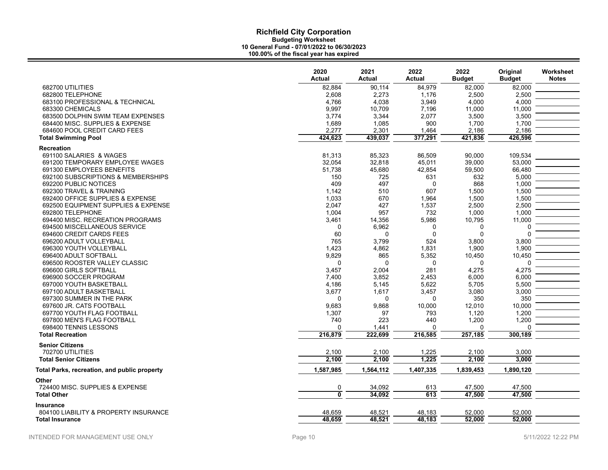|                                              | 2020<br><b>Actual</b>   | 2021<br><b>Actual</b> | 2022<br>Actual | 2022<br><b>Budget</b> | Original<br><b>Budget</b> | Worksheet<br><b>Notes</b> |
|----------------------------------------------|-------------------------|-----------------------|----------------|-----------------------|---------------------------|---------------------------|
| 682700 UTILITIES                             | 82,884                  | 90,114                | 84,979         | 82,000                | 82,000                    |                           |
| 682800 TELEPHONE                             | 2,608                   | 2,273                 | 1,176          | 2,500                 | 2,500                     |                           |
| 683100 PROFESSIONAL & TECHNICAL              | 4,766                   | 4,038                 | 3,949          | 4,000                 | 4,000                     |                           |
| 683300 CHEMICALS                             | 9,997                   | 10,709                | 7,196          | 11,000                | 11,000                    |                           |
| 683500 DOLPHIN SWIM TEAM EXPENSES            | 3,774                   | 3,344                 | 2,077          | 3,500                 | 3,500                     |                           |
| 684400 MISC. SUPPLIES & EXPENSE              | 1,689                   | 1,085                 | 900            | 1,700                 | 1,700                     |                           |
| 684600 POOL CREDIT CARD FEES                 | 2,277                   | 2,301                 | 1,464          | 2,186                 | 2,186                     |                           |
| <b>Total Swimming Pool</b>                   | 424,623                 | 439,037               | 377,291        | 421,836               | 426,596                   |                           |
| <b>Recreation</b>                            |                         |                       |                |                       |                           |                           |
| 691100 SALARIES & WAGES                      | 81,313                  | 85,323                | 86,509         | 90,000                | 109,534                   |                           |
| 691200 TEMPORARY EMPLOYEE WAGES              | 32,054                  | 32,818                | 45,011         | 39,000                | 53,000                    |                           |
| 691300 EMPLOYEES BENEFITS                    | 51,738                  | 45,680                | 42,854         | 59,500                | 66,480                    |                           |
| 692100 SUBSCRIPTIONS & MEMBERSHIPS           | 150                     | 725                   | 631            | 632                   | 5,000                     |                           |
| 692200 PUBLIC NOTICES                        | 409                     | 497                   | $\Omega$       | 868                   | 1,000                     |                           |
| 692300 TRAVEL & TRAINING                     | 1,142                   | 510                   | 607            | 1,500                 | 1,500                     |                           |
| 692400 OFFICE SUPPLIES & EXPENSE             | 1,033                   | 670                   | 1,964          | 1,500                 | 1,500                     |                           |
| 692500 EQUIPMENT SUPPLIES & EXPENSE          | 2,047                   | 427                   | 1,537          | 2,500                 | 2,500                     |                           |
| 692800 TELEPHONE                             | 1,004                   | 957                   | 732            | 1,000                 | 1,000                     |                           |
| 694400 MISC. RECREATION PROGRAMS             | 3,461                   | 14,356                | 5,986          | 10,795                | 11,000                    |                           |
| 694500 MISCELLANEOUS SERVICE                 | $\mathbf 0$             | 6,962                 | 0              | 0                     | $\Omega$                  |                           |
| 694600 CREDIT CARDS FEES                     | 60                      | $\Omega$              | $\mathbf{0}$   | $\Omega$              | $\Omega$                  |                           |
| 696200 ADULT VOLLEYBALL                      | 765                     | 3,799                 | 524            | 3,800                 | 3,800                     |                           |
| 696300 YOUTH VOLLEYBALL                      | 1,423                   | 4,862                 | 1,831          | 1.900                 | 1,900                     |                           |
| 696400 ADULT SOFTBALL                        | 9,829                   | 865                   | 5,352          | 10,450                | 10,450                    |                           |
| 696500 ROOSTER VALLEY CLASSIC                | $\mathbf 0$             | $\Omega$              | $\mathbf 0$    | $\Omega$              | $\Omega$                  |                           |
| 696600 GIRLS SOFTBALL                        | 3,457                   | 2,004                 | 281            | 4,275                 | 4,275                     |                           |
| 696900 SOCCER PROGRAM                        | 7,400                   | 3,852                 | 2,453          | 6,000                 | 6,000                     |                           |
| 697000 YOUTH BASKETBALL                      | 4,186                   | 5,145                 | 5,622          | 5,705                 | 5,500                     |                           |
| 697100 ADULT BASKETBALL                      | 3,677                   | 1,617                 | 3,457          | 3,080                 | 3,000                     |                           |
| 697300 SUMMER IN THE PARK                    | 0                       | 0                     | $\Omega$       | 350                   | 350                       |                           |
| 697600 JR. CATS FOOTBALL                     | 9,683                   | 9,868                 | 10,000         | 12,010                | 10,000                    |                           |
| 697700 YOUTH FLAG FOOTBALL                   | 1,307                   | 97                    | 793            | 1,120                 | 1,200                     |                           |
| 697800 MEN'S FLAG FOOTBALL                   | 740                     | 223                   | 440            | 1,200                 | 1,200                     |                           |
| 698400 TENNIS LESSONS                        | $\Omega$                | 1,441                 | $\Omega$       | $\Omega$              | $\Omega$                  |                           |
| <b>Total Recreation</b>                      | 216,879                 | 222,699               | 216,585        | 257,185               | 300,189                   |                           |
| <b>Senior Citizens</b>                       |                         |                       |                |                       |                           |                           |
| 702700 UTILITIES                             | 2,100                   | 2,100                 | 1,225          | 2,100                 | 3,000                     |                           |
| <b>Total Senior Citizens</b>                 | 2,100                   | 2,100                 | 1,225          | 2,100                 | 3,000                     |                           |
|                                              |                         |                       |                |                       |                           |                           |
| Total Parks, recreation, and public property | 1,587,985               | 1,564,112             | 1,407,335      | 1,839,453             | 1,890,120                 |                           |
| Other                                        |                         |                       |                |                       |                           |                           |
| 724400 MISC. SUPPLIES & EXPENSE              | $\overline{0}$          | 34,092                | 613            | 47,500                | 47,500                    |                           |
| <b>Total Other</b>                           | $\overline{\mathbf{0}}$ | 34,092                | 613            | 47,500                | 47,500                    |                           |
| <b>Insurance</b>                             |                         |                       |                |                       |                           |                           |
| 804100 LIABILITY & PROPERTY INSURANCE        | 48,659                  | 48,521                | 48,183         | 52,000                | 52,000                    |                           |
| <b>Total Insurance</b>                       | 48,659                  | 48,521                | 48,183         | 52,000                | 52,000                    |                           |
|                                              |                         |                       |                |                       |                           |                           |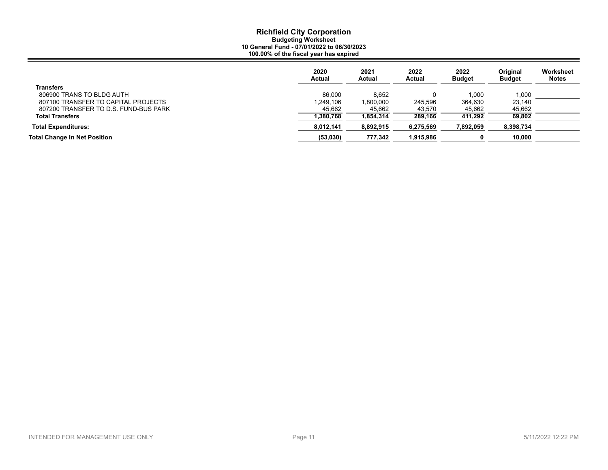|                                       | 2020<br>Actual | 2021<br>Actual | 2022<br>Actual | 2022<br><b>Budget</b> | <b>Original</b><br><b>Budget</b> | Worksheet<br><b>Notes</b> |
|---------------------------------------|----------------|----------------|----------------|-----------------------|----------------------------------|---------------------------|
| <b>Transfers</b>                      |                |                |                |                       |                                  |                           |
| 806900 TRANS TO BLDG AUTH             | 86.000         | 8.652          |                | 1.000                 | 1,000                            |                           |
| 807100 TRANSFER TO CAPITAL PROJECTS   | 1.249.106      | 000,000,1      | 245.596        | 364.630               | 23,140                           |                           |
| 807200 TRANSFER TO D.S. FUND-BUS PARK | 45,662         | 45,662         | 43,570         | 45,662                | 45,662                           |                           |
| <b>Total Transfers</b>                | 1,380,768      | 1,854,314      | 289,166        | 411.292               | 69.802                           |                           |
| <b>Total Expenditures:</b>            | 8,012,141      | 8,892,915      | 6,275,569      | 892,059,              | 8,398,734                        |                           |
| <b>Total Change In Net Position</b>   | (53,030)       | 777,342        | 1,915,986      |                       | 10.000                           |                           |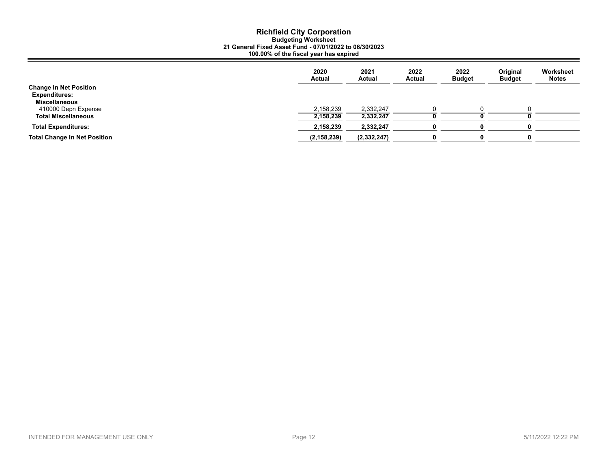|                                     | 2020<br><b>Actual</b> | 2021<br><b>Actual</b> | 2022<br><b>Actual</b> | 2022<br><b>Budget</b> | Original<br><b>Budget</b> | Worksheet<br><b>Notes</b> |
|-------------------------------------|-----------------------|-----------------------|-----------------------|-----------------------|---------------------------|---------------------------|
| <b>Change In Net Position</b>       |                       |                       |                       |                       |                           |                           |
| <b>Expenditures:</b>                |                       |                       |                       |                       |                           |                           |
| <b>Miscellaneous</b>                |                       |                       |                       |                       |                           |                           |
| 410000 Depn Expense                 | 2,158,239             | 2,332,247             |                       |                       |                           |                           |
| <b>Total Miscellaneous</b>          | 2,158,239             | 2,332,247             |                       |                       |                           |                           |
| <b>Total Expenditures:</b>          | 2,158,239             | 2,332,247             |                       |                       |                           |                           |
| <b>Total Change In Net Position</b> | (2, 158, 239)         | (2,332,247)           |                       |                       |                           |                           |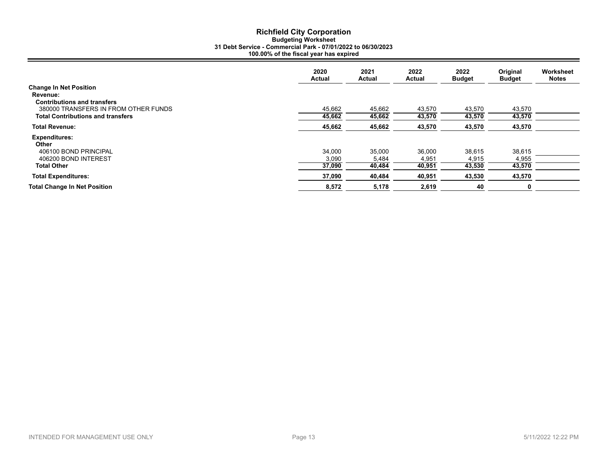# **Richfield City Corporation Budgeting Worksheet 31 Debt Service - Commercial Park - 07/01/2022 to 06/30/2023 100.00% of the fiscal year has expired**

|                                          | 2020<br>Actual | 2021<br><b>Actual</b> | 2022<br><b>Actual</b> | 2022<br><b>Budget</b> | Original<br><b>Budget</b> | Worksheet<br><b>Notes</b> |
|------------------------------------------|----------------|-----------------------|-----------------------|-----------------------|---------------------------|---------------------------|
| <b>Change In Net Position</b>            |                |                       |                       |                       |                           |                           |
| Revenue:                                 |                |                       |                       |                       |                           |                           |
| <b>Contributions and transfers</b>       |                |                       |                       |                       |                           |                           |
| 380000 TRANSFERS IN FROM OTHER FUNDS     | 45,662         | 45,662                | 43,570                | 43,570                | 43,570                    |                           |
| <b>Total Contributions and transfers</b> | 45,662         | 45,662                | 43,570                | 43,570                | 43,570                    |                           |
| <b>Total Revenue:</b>                    | 45,662         | 45,662                | 43,570                | 43,570                | 43,570                    |                           |
| <b>Expenditures:</b><br>Other            |                |                       |                       |                       |                           |                           |
| 406100 BOND PRINCIPAL                    | 34,000         | 35,000                | 36,000                | 38,615                | 38,615                    |                           |
| 406200 BOND INTEREST                     | 3,090          | 5,484                 | 4,951                 | 4,915                 | 4,955                     |                           |
| <b>Total Other</b>                       | 37,090         | 40,484                | 40,951                | 43,530                | 43,570                    |                           |
| <b>Total Expenditures:</b>               | 37,090         | 40,484                | 40,951                | 43,530                | 43,570                    |                           |
| <b>Total Change In Net Position</b>      | 8,572          | 5,178                 | 2,619                 | 40                    | 0                         |                           |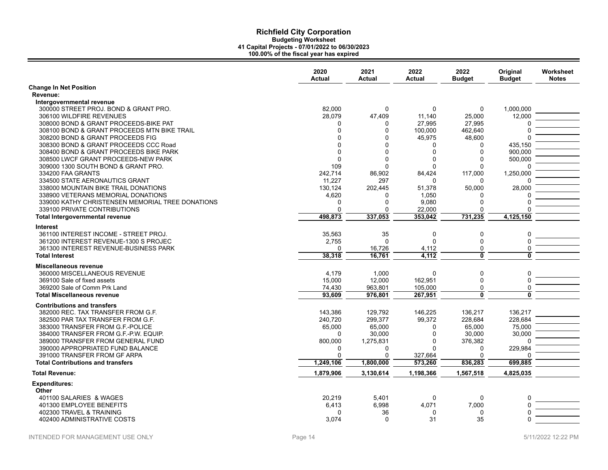|                                                  | 2020<br>Actual | 2021<br>Actual | 2022<br>Actual | 2022<br><b>Budget</b> | Original<br><b>Budget</b> | Worksheet<br><b>Notes</b> |
|--------------------------------------------------|----------------|----------------|----------------|-----------------------|---------------------------|---------------------------|
| <b>Change In Net Position</b>                    |                |                |                |                       |                           |                           |
| Revenue:                                         |                |                |                |                       |                           |                           |
| Intergovernmental revenue                        |                |                |                |                       |                           |                           |
| 300000 STREET PROJ. BOND & GRANT PRO.            | 82,000         | $\mathbf 0$    | 0              | $\mathbf 0$           | 1,000,000                 |                           |
| 306100 WILDFIRE REVENUES                         | 28.079         | 47.409         | 11.140         | 25.000                | 12,000                    |                           |
| 308000 BOND & GRANT PROCEEDS-BIKE PAT            | 0              | 0              | 27,995         | 27,995                |                           |                           |
| 308100 BOND & GRANT PROCEEDS MTN BIKE TRAIL      | $\Omega$       | $\mathbf 0$    | 100.000        | 462,640               | $\Omega$                  |                           |
| 308200 BOND & GRANT PROCEEDS FIG                 | $\Omega$       | $\Omega$       | 45,975         | 48,600                |                           |                           |
| 308300 BOND & GRANT PROCEEDS CCC Road            | $\Omega$       | $\Omega$       | 0              | 0                     | 435,150                   |                           |
| 308400 BOND & GRANT PROCEEDS BIKE PARK           | $\Omega$       | $\Omega$       | $\Omega$       | 0                     | 900,000                   |                           |
| 308500 LWCF GRANT PROCEEDS-NEW PARK              | $\Omega$       | $\Omega$       | 0              | 0                     | 500,000                   |                           |
| 309000 1300 SOUTH BOND & GRANT PRO.              | 109            | $\Omega$       | $\Omega$       | $\Omega$              | $\cap$                    |                           |
| 334200 FAA GRANTS                                | 242,714        | 86,902         | 84,424         | 117,000               | 1,250,000                 |                           |
| 334500 STATE AERONAUTICS GRANT                   | 11.227         | 297            | $\Omega$       | 0                     |                           |                           |
| 338000 MOUNTAIN BIKE TRAIL DONATIONS             | 130,124        | 202,445        | 51,378         | 50,000                | 28,000                    |                           |
| 338900 VETERANS MEMORIAL DONATIONS               | 4,620          | 0              | 1,050          | 0                     |                           |                           |
| 339000 KATHY CHRISTENSEN MEMORIAL TREE DONATIONS | $\mathbf{0}$   | $\mathbf 0$    | 9,080          | 0                     | $\Omega$                  |                           |
| 339100 PRIVATE CONTRIBUTIONS                     | $\Omega$       | $\Omega$       | 22,000         | $\Omega$              | $\Omega$                  |                           |
| Total Intergovernmental revenue                  | 498.873        | 337,053        | 353,042        | 731,235               | 4,125,150                 |                           |
| <b>Interest</b>                                  |                |                |                |                       |                           |                           |
| 361100 INTEREST INCOME - STREET PROJ.            | 35,563         | 35             | 0              | 0                     | 0                         |                           |
| 361200 INTEREST REVENUE-1300 S PROJEC            | 2,755          | $\Omega$       | $\Omega$       | 0                     | $\mathbf 0$               |                           |
| 361300 INTEREST REVENUE-BUSINESS PARK            | $\Omega$       | 16,726         | 4,112          | 0                     | $\mathbf 0$               |                           |
| <b>Total Interest</b>                            | 38,318         | 16.761         | 4,112          | $\overline{0}$        | $\overline{0}$            |                           |
|                                                  |                |                |                |                       |                           |                           |
| Miscellaneous revenue                            |                |                |                |                       |                           |                           |
| 360000 MISCELLANEOUS REVENUE                     | 4,179          | 1,000          | 0              | 0                     | 0                         |                           |
| 369100 Sale of fixed assets                      | 15,000         | 12,000         | 162,951        | 0                     | $\mathbf 0$               |                           |
| 369200 Sale of Comm Prk Land                     | 74,430         | 963,801        | 105,000        | 0                     | 0                         |                           |
| <b>Total Miscellaneous revenue</b>               | 93,609         | 976,801        | 267,951        | $\overline{0}$        | $\overline{0}$            |                           |
| <b>Contributions and transfers</b>               |                |                |                |                       |                           |                           |
| 382000 REC. TAX TRANSFER FROM G.F.               | 143,386        | 129,792        | 146,225        | 136,217               | 136,217                   |                           |
| 382500 PAR TAX TRANSFER FROM G.F.                | 240,720        | 299,377        | 99,372         | 228,684               | 228,684                   |                           |
| 383000 TRANSFER FROM G.F.-POLICE                 | 65,000         | 65,000         | 0              | 65,000                | 75,000                    |                           |
| 384000 TRANSFER FROM G.F.-P.W. EQUIP.            | $\Omega$       | 30,000         | 0              | 30,000                | 30,000                    |                           |
| 389000 TRANSFER FROM GENERAL FUND                | 800,000        | 1,275,831      | 0              | 376,382               | $\Omega$                  |                           |
| 390000 APPROPRIATED FUND BALANCE                 | <sup>0</sup>   | 0              | U              | 0                     | 229,984                   |                           |
| 391000 TRANSFER FROM GF ARPA                     | $\Omega$       | $\Omega$       | 327,664        |                       | $\Omega$                  |                           |
| <b>Total Contributions and transfers</b>         | 1,249,106      | 1,800,000      | 573,260        | 836,283               | 699,885                   |                           |
|                                                  |                |                |                |                       |                           |                           |
| <b>Total Revenue:</b>                            | 1,879,906      | 3,130,614      | 1,198,366      | 1,567,518             | 4,825,035                 |                           |
| <b>Expenditures:</b>                             |                |                |                |                       |                           |                           |
| Other                                            |                |                |                |                       |                           |                           |
| 401100 SALARIES & WAGES                          | 20,219         | 5,401          | 0              | 0                     | 0                         |                           |
| 401300 EMPLOYEE BENEFITS                         | 6,413          | 6.998          | 4,071          | 7,000                 | $\Omega$                  |                           |
| 402300 TRAVEL & TRAINING                         | $\Omega$       | 36             | 0              | 0                     | O                         |                           |
| 402400 ADMINISTRATIVE COSTS                      | 3,074          | $\Omega$       | 31             | 35                    | O                         |                           |
|                                                  |                |                |                |                       |                           |                           |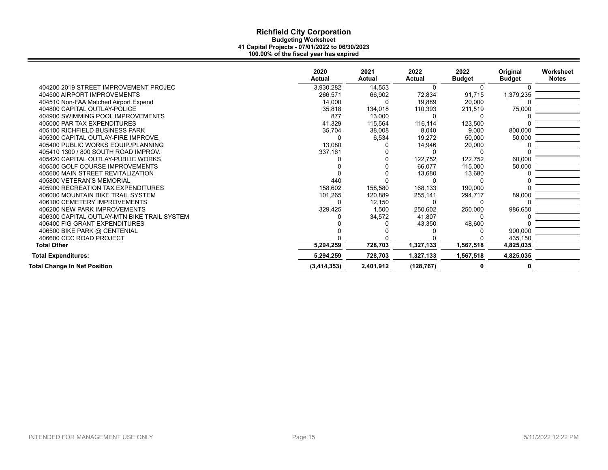|                                             | 2020<br>Actual | 2021<br><b>Actual</b> | 2022<br><b>Actual</b> | 2022<br><b>Budget</b> | Original<br><b>Budget</b> | Worksheet<br><b>Notes</b> |
|---------------------------------------------|----------------|-----------------------|-----------------------|-----------------------|---------------------------|---------------------------|
| 404200 2019 STREET IMPROVEMENT PROJEC       | 3,930,282      | 14,553                | $\Omega$              | 0                     |                           |                           |
| 404500 AIRPORT IMPROVEMENTS                 | 266.571        | 66,902                | 72,834                | 91,715                | 1,379,235                 |                           |
| 404510 Non-FAA Matched Airport Expend       | 14,000         | ŋ                     | 19,889                | 20,000                |                           |                           |
| 404800 CAPITAL OUTLAY-POLICE                | 35,818         | 134,018               | 110,393               | 211,519               | 75,000                    |                           |
| 404900 SWIMMING POOL IMPROVEMENTS           | 877            | 13,000                | O                     |                       |                           |                           |
| 405000 PAR TAX EXPENDITURES                 | 41,329         | 115,564               | 116,114               | 123,500               |                           |                           |
| 405100 RICHFIELD BUSINESS PARK              | 35,704         | 38,008                | 8,040                 | 9,000                 | 800,000                   |                           |
| 405300 CAPITAL OUTLAY-FIRE IMPROVE.         |                | 6,534                 | 19,272                | 50,000                | 50,000                    |                           |
| 405400 PUBLIC WORKS EQUIP/PLANNING          | 13,080         |                       | 14,946                | 20,000                |                           |                           |
| 405410 1300 / 800 SOUTH ROAD IMPROV.        | 337,161        |                       | O                     |                       |                           |                           |
| 405420 CAPITAL OUTLAY-PUBLIC WORKS          |                |                       | 122,752               | 122,752               | 60,000                    |                           |
| 405500 GOLF COURSE IMPROVEMENTS             |                |                       | 66,077                | 115,000               | 50,000                    |                           |
| 405600 MAIN STREET REVITALIZATION           |                |                       | 13,680                | 13,680                |                           |                           |
| 405800 VETERAN'S MEMORIAL                   | 440            |                       |                       |                       |                           |                           |
| 405900 RECREATION TAX EXPENDITURES          | 158,602        | 158,580               | 168,133               | 190,000               |                           |                           |
| 406000 MOUNTAIN BIKE TRAIL SYSTEM           | 101,265        | 120,889               | 255,141               | 294,717               | 89,000                    |                           |
| 406100 CEMETERY IMPROVEMENTS                |                | 12,150                | O                     |                       |                           |                           |
| 406200 NEW PARK IMPROVEMENTS                | 329,425        | 1,500                 | 250,602               | 250,000               | 986,650                   |                           |
| 406300 CAPITAL OUTLAY-MTN BIKE TRAIL SYSTEM |                | 34,572                | 41,807                |                       |                           |                           |
| 406400 FIG GRANT EXPENDITURES               |                |                       | 43,350                | 48,600                |                           |                           |
| 406500 BIKE PARK @ CENTENIAL                |                |                       |                       |                       | 900,000                   |                           |
| 406600 CCC ROAD PROJECT                     |                |                       |                       |                       | 435,150                   |                           |
| <b>Total Other</b>                          | 5,294,259      | 728,703               | 1,327,133             | 1,567,518             | 4,825,035                 |                           |
| <b>Total Expenditures:</b>                  | 5,294,259      | 728,703               | 1,327,133             | 1,567,518             | 4,825,035                 |                           |
| <b>Total Change In Net Position</b>         | (3,414,353)    | 2,401,912             | (128, 767)            | 0                     |                           |                           |
|                                             |                |                       |                       |                       |                           |                           |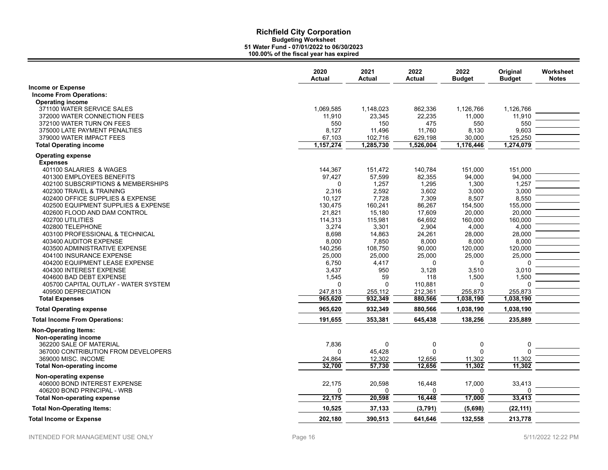|                                                                                | 2020<br><b>Actual</b> | 2021<br><b>Actual</b> | 2022<br><b>Actual</b> | 2022<br><b>Budget</b> | Original<br><b>Budget</b> | Worksheet<br><b>Notes</b> |
|--------------------------------------------------------------------------------|-----------------------|-----------------------|-----------------------|-----------------------|---------------------------|---------------------------|
| <b>Income or Expense</b>                                                       |                       |                       |                       |                       |                           |                           |
| <b>Income From Operations:</b>                                                 |                       |                       |                       |                       |                           |                           |
|                                                                                |                       |                       |                       |                       |                           |                           |
| <b>Operating income</b>                                                        |                       |                       |                       |                       |                           |                           |
| 371100 WATER SERVICE SALES                                                     | 1,069,585             | 1,148,023             | 862,336               | 1,126,766             | 1,126,766                 |                           |
| 372000 WATER CONNECTION FEES                                                   | 11,910                | 23,345                | 22,235                | 11,000                | 11,910                    |                           |
| 372100 WATER TURN ON FEES                                                      | 550                   | 150                   | 475                   | 550                   | 550                       |                           |
| 375000 LATE PAYMENT PENALTIES                                                  | 8,127                 | 11,496                | 11,760                | 8,130                 | 9,603                     |                           |
| 379000 WATER IMPACT FEES                                                       | 67,103                | 102,716               | 629,198               | 30,000                | 125,250                   |                           |
| <b>Total Operating income</b>                                                  | 1,157,274             | 1,285,730             | 1,526,004             | 1,176,446             | 1,274,079                 |                           |
| <b>Operating expense</b>                                                       |                       |                       |                       |                       |                           |                           |
| <b>Expenses</b>                                                                |                       |                       |                       |                       |                           |                           |
| 401100 SALARIES & WAGES                                                        | 144,367               | 151,472               | 140,784               | 151,000               | 151,000                   |                           |
| 401300 EMPLOYEES BENEFITS                                                      | 97,427                | 57,599                | 82,355                | 94,000                | 94,000                    |                           |
| 402100 SUBSCRIPTIONS & MEMBERSHIPS                                             | $\Omega$              | 1,257                 | 1,295                 | 1,300                 | 1,257                     |                           |
| 402300 TRAVEL & TRAINING                                                       | 2,316                 | 2,592                 | 3,602                 | 3,000                 | 3,000                     |                           |
| 402400 OFFICE SUPPLIES & EXPENSE                                               | 10,127                | 7,728                 | 7,309                 | 8,507                 | 8,550                     |                           |
| 402500 EQUIPMENT SUPPLIES & EXPENSE                                            | 130.475               | 160.241               | 86.267                | 154.500               | 155.000                   |                           |
| 402600 FLOOD AND DAM CONTROL                                                   | 21,821                | 15,180                | 17,609                | 20,000                | 20,000                    |                           |
| 402700 UTILITIES                                                               | 114,313               | 115,981               | 64,692                | 160,000               | 160.000                   |                           |
| 402800 TELEPHONE                                                               | 3,274                 | 3.301                 | 2.904                 | 4.000                 | 4,000                     |                           |
| 403100 PROFESSIONAL & TECHNICAL                                                | 8,698                 | 14,863                | 24,261                | 28,000                | 28,000                    |                           |
| 403400 AUDITOR EXPENSE                                                         | 8,000                 | 7,850                 | 8,000                 | 8,000                 | 8,000                     |                           |
| 403500 ADMINISTRATIVE EXPENSE                                                  | 140,256               | 108,750               | 90,000                | 120,000               | 120,000                   |                           |
| 404100 INSURANCE EXPENSE                                                       | 25,000                | 25,000                | 25,000                | 25,000                | 25,000                    |                           |
| 404200 EQUIPMENT LEASE EXPENSE                                                 | 6,750                 | 4,417                 | $\Omega$              | 0                     | ŋ                         |                           |
| 404300 INTEREST EXPENSE                                                        | 3,437                 | 950                   | 3,128                 | 3,510                 | 3,010                     |                           |
| 404600 BAD DEBT EXPENSE                                                        | 1,545                 | 59                    | 118                   | 1,500                 | 1,500                     |                           |
| 405700 CAPITAL OUTLAY - WATER SYSTEM                                           | 0                     | $\Omega$              | 110,881               | 0                     | 0                         |                           |
| 409500 DEPRECIATION                                                            | 247,813               | 255,112               | 212,361               | 255,873               | 255,873                   |                           |
| <b>Total Expenses</b>                                                          | 965,620               | 932,349               | 880,566               | 1,038,190             | 1,038,190                 |                           |
|                                                                                |                       |                       |                       |                       |                           |                           |
| <b>Total Operating expense</b>                                                 | 965,620               | 932,349               | 880,566               | 1,038,190             | 1,038,190                 |                           |
| <b>Total Income From Operations:</b>                                           | 191,655               | 353,381               | 645,438               | 138,256               | 235,889                   |                           |
| <b>Non-Operating Items:</b><br>Non-operating income<br>362200 SALE OF MATERIAL | 7,836                 | $\mathbf 0$           | 0                     | 0                     | 0                         |                           |
| 367000 CONTRIBUTION FROM DEVELOPERS                                            | 0                     | 45.428                | $\mathbf{0}$          | $\mathbf{0}$          | U                         |                           |
| 369000 MISC. INCOME                                                            | 24,864                | 12,302                | 12,656                | 11,302                | 11,302                    |                           |
| <b>Total Non-operating income</b>                                              | 32.700                | 57,730                | 12,656                | 11,302                | 11,302                    |                           |
|                                                                                |                       |                       |                       |                       |                           |                           |
| Non-operating expense<br>406000 BOND INTEREST EXPENSE                          | 22,175                | 20,598                | 16,448                | 17,000                | 33,413                    |                           |
| 406200 BOND PRINCIPAL - WRB                                                    | O                     | $\Omega$              | 0                     | 0                     | U                         |                           |
| <b>Total Non-operating expense</b>                                             | 22,175                | 20,598                | 16,448                | 17,000                | 33,413                    |                           |
| <b>Total Non-Operating Items:</b>                                              | 10,525                | 37,133                | (3,791)               | (5,698)               | (22, 111)                 |                           |
| <b>Total Income or Expense</b>                                                 | 202,180               | 390,513               | 641,646               | 132,558               | 213,778                   |                           |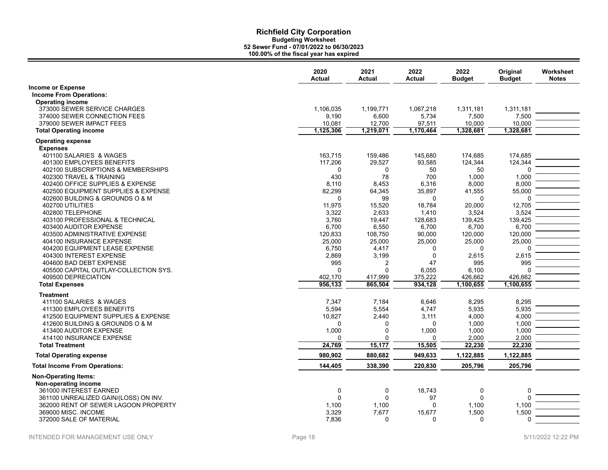|                                                                               | 2020<br><b>Actual</b> | 2021<br><b>Actual</b> | 2022<br><b>Actual</b> | 2022<br><b>Budget</b> | Original<br><b>Budget</b> | Worksheet<br><b>Notes</b> |
|-------------------------------------------------------------------------------|-----------------------|-----------------------|-----------------------|-----------------------|---------------------------|---------------------------|
| <b>Income or Expense</b>                                                      |                       |                       |                       |                       |                           |                           |
| <b>Income From Operations:</b>                                                |                       |                       |                       |                       |                           |                           |
| <b>Operating income</b>                                                       |                       |                       |                       |                       |                           |                           |
| 373000 SEWER SERVICE CHARGES                                                  | 1,106,035             | 1,199,771             | 1,067,218             | 1,311,181             | 1,311,181                 |                           |
| 374000 SEWER CONNECTION FEES                                                  | 9,190                 | 6,600                 | 5,734                 | 7,500                 | 7,500                     |                           |
| 379000 SEWER IMPACT FEES                                                      | 10,081                | 12,700                | 97,511                | 10,000                | 10,000                    |                           |
| <b>Total Operating income</b>                                                 | 1,125,306             | 1,219,071             | 1,170,464             | 1,328,681             | 1,328,681                 |                           |
| <b>Operating expense</b>                                                      |                       |                       |                       |                       |                           |                           |
| <b>Expenses</b>                                                               |                       |                       |                       |                       |                           |                           |
| 401100 SALARIES & WAGES                                                       | 163,715               | 159,486               | 145,680               | 174,685               | 174,685                   |                           |
| 401300 EMPLOYEES BENEFITS                                                     | 117,206               | 29,527                | 93,585                | 124,344               | 124,344                   |                           |
| 402100 SUBSCRIPTIONS & MEMBERSHIPS                                            | 0                     | 0                     | 50                    | 50                    | 0                         |                           |
| 402300 TRAVEL & TRAINING                                                      | 430                   | 78                    | 700                   | 1,000                 | 1,000                     |                           |
| 402400 OFFICE SUPPLIES & EXPENSE                                              | 8,110                 | 8,453                 | 6,316                 | 8,000                 | 8,000                     |                           |
| 402500 EQUIPMENT SUPPLIES & EXPENSE                                           | 82,299                | 64,345                | 35,897                | 41,555                | 55,000                    |                           |
| 402600 BUILDING & GROUNDS O & M                                               | $\Omega$              | 99                    | $\Omega$              | $\Omega$              | 0                         |                           |
| 402700 UTILITIES                                                              | 11,975                | 15,520                | 18,784                | 20,000                | 12,705                    |                           |
| 402800 TELEPHONE                                                              | 3,322                 | 2.633                 | 1,410                 | 3,524                 | 3,524                     |                           |
| 403100 PROFESSIONAL & TECHNICAL                                               | 3,760                 | 19,447                | 128,683               | 139,425               | 139,425                   |                           |
| 403400 AUDITOR EXPENSE                                                        | 6,700                 | 6,550                 | 6,700                 | 6,700                 | 6,700                     |                           |
| 403500 ADMINISTRATIVE EXPENSE                                                 | 120,833               | 108,750               | 90,000                | 120,000               | 120,000                   |                           |
| 404100 INSURANCE EXPENSE                                                      | 25,000                | 25,000                | 25,000                | 25,000                | 25,000                    |                           |
| 404200 EQUIPMENT LEASE EXPENSE                                                | 6,750                 | 4,417                 | $\Omega$              | $\Omega$              | O                         |                           |
| 404300 INTEREST EXPENSE                                                       | 2,869                 | 3,199                 | $\mathbf 0$           | 2,615                 | 2,615                     |                           |
| 404600 BAD DEBT EXPENSE                                                       | 995                   | 2                     | 47                    | 995                   | 995                       |                           |
| 405500 CAPITAL OUTLAY-COLLECTION SYS.                                         | $\Omega$              | $\Omega$              | 6,055                 | 6,100                 | 0                         |                           |
| 409500 DEPRECIATION                                                           | 402,170               | 417,999               | 375,222               | 426,662               | 426,662                   |                           |
| <b>Total Expenses</b>                                                         | 956,133               | 865,504               | 934,128               | 1,100,655             | 1,100,655                 |                           |
| Treatment                                                                     |                       |                       |                       |                       |                           |                           |
| 411100 SALARIES & WAGES                                                       | 7,347                 | 7,184                 | 6,646                 | 8,295                 | 8,295                     |                           |
| 411300 EMPLOYEES BENEFITS                                                     | 5,594                 | 5,554                 | 4,747                 | 5,935                 | 5,935                     |                           |
| 412500 EQUIPMENT SUPPLIES & EXPENSE                                           | 10,827                | 2,440                 | 3,111                 | 4,000                 | 4,000                     |                           |
| 412600 BUILDING & GROUNDS O & M                                               | 0                     | $\Omega$              | $\Omega$              | 1,000                 | 1,000                     |                           |
| 413400 AUDITOR EXPENSE                                                        | 1,000                 | $\mathbf 0$           | 1,000                 | 1,000                 | 1,000                     |                           |
| 414100 INSURANCE EXPENSE                                                      | $\Omega$              | $\Omega$              | $\Omega$              | 2,000                 | 2,000                     |                           |
| <b>Total Treatment</b>                                                        | 24,769                | 15,177                | 15,505                | 22,230                | 22,230                    |                           |
| <b>Total Operating expense</b>                                                | 980,902               | 880,682               | 949,633               | 1,122,885             | 1,122,885                 |                           |
| <b>Total Income From Operations:</b>                                          | 144,405               | 338,390               | 220,830               | 205,796               | 205,796                   |                           |
| <b>Non-Operating Items:</b><br>Non-operating income<br>361000 INTEREST EARNED | 0                     | $\mathbf 0$           | 18,743                | $\mathbf 0$           | 0                         |                           |
| 361100 UNREALIZED GAIN/(LOSS) ON INV.                                         | $\Omega$              | $\Omega$              | 97                    | $\Omega$              | $\Omega$                  |                           |
| 362000 RENT OF SEWER LAGOON PROPERTY                                          | 1,100                 | 1,100                 | $\Omega$              | 1,100                 | 1.100                     |                           |
| 369000 MISC. INCOME                                                           | 3,329                 | 7,677                 | 15,677                | 1,500                 | 1,500                     |                           |
| 372000 SALE OF MATERIAL                                                       | 7,836                 | 0                     | 0                     | $\mathbf{0}$          | 0                         |                           |
|                                                                               |                       |                       |                       |                       |                           |                           |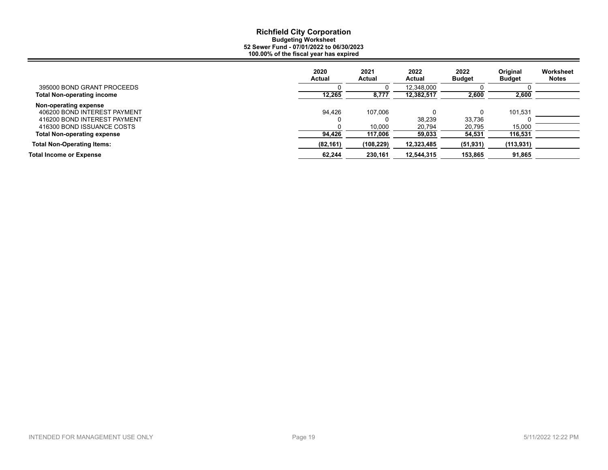|                                    | 2020<br>Actual | 2021<br>Actual | 2022<br>Actual | 2022<br><b>Budget</b> | Original<br><b>Budget</b> | Worksheet<br><b>Notes</b> |
|------------------------------------|----------------|----------------|----------------|-----------------------|---------------------------|---------------------------|
| 395000 BOND GRANT PROCEEDS         |                |                | 12,348,000     |                       |                           |                           |
| <b>Total Non-operating income</b>  | 12,265         | 8,777          | 12,382,517     | 2,600                 | 2,600                     |                           |
| Non-operating expense              |                |                |                |                       |                           |                           |
| 406200 BOND INTEREST PAYMENT       | 94.426         | 107.006        |                |                       | 101.531                   |                           |
| 416200 BOND INTEREST PAYMENT       |                |                | 38.239         | 33,736                |                           |                           |
| 416300 BOND ISSUANCE COSTS         |                | 10,000         | 20,794         | 20,795                | 15,000                    |                           |
| <b>Total Non-operating expense</b> | 94,426         | 117,006        | 59,033         | 54,531                | 116,531                   |                           |
| <b>Total Non-Operating Items:</b>  | (82, 161)      | (108, 229)     | 12,323,485     | (51, 931)             | (113, 931)                |                           |
| <b>Total Income or Expense</b>     | 62,244         | 230.161        | 12,544,315     | 153,865               | 91,865                    |                           |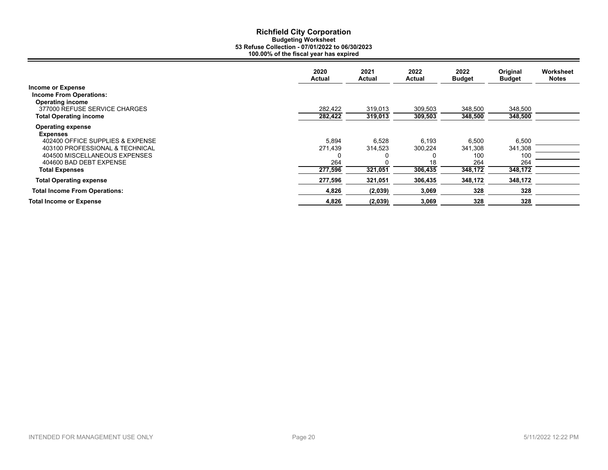|                                                                                       | 2020<br>Actual     | 2021<br><b>Actual</b> | 2022<br>Actual     | 2022<br><b>Budget</b> | Original<br><b>Budget</b> | Worksheet<br><b>Notes</b> |
|---------------------------------------------------------------------------------------|--------------------|-----------------------|--------------------|-----------------------|---------------------------|---------------------------|
| <b>Income or Expense</b><br><b>Income From Operations:</b><br><b>Operating income</b> |                    |                       |                    |                       |                           |                           |
| 377000 REFUSE SERVICE CHARGES<br><b>Total Operating income</b>                        | 282,422<br>282,422 | 319,013<br>319,013    | 309,503<br>309,503 | 348,500<br>348,500    | 348,500<br>348,500        |                           |
| <b>Operating expense</b><br>Expenses                                                  |                    |                       |                    |                       |                           |                           |
| 402400 OFFICE SUPPLIES & EXPENSE                                                      | 5,894              | 6,528                 | 6.193              | 6,500                 | 6,500                     |                           |
| 403100 PROFESSIONAL & TECHNICAL                                                       | 271,439            | 314,523               | 300,224            | 341,308               | 341,308                   |                           |
| 404500 MISCELLANEOUS EXPENSES                                                         |                    |                       |                    | 100                   | 100                       |                           |
| 404600 BAD DEBT EXPENSE                                                               | 264                |                       | 18                 | 264                   | 264                       |                           |
| <b>Total Expenses</b>                                                                 | 277,596            | 321,051               | 306,435            | 348,172               | 348,172                   |                           |
| <b>Total Operating expense</b>                                                        | 277,596            | 321,051               | 306,435            | 348,172               | 348,172                   |                           |
| <b>Total Income From Operations:</b>                                                  | 4,826              | (2,039)               | 3,069              | 328                   | 328                       |                           |
| <b>Total Income or Expense</b>                                                        | 4,826              | (2,039)               | 3,069              | 328                   | 328                       |                           |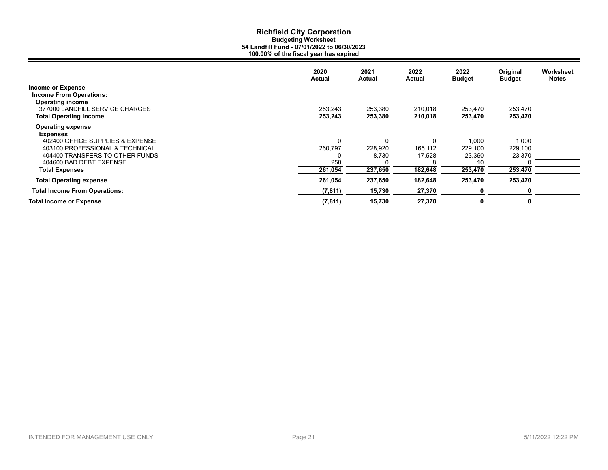|                                                                                       | 2020<br><b>Actual</b> | 2021<br>Actual     | 2022<br>Actual     | 2022<br><b>Budget</b> | Original<br><b>Budget</b> | Worksheet<br><b>Notes</b> |
|---------------------------------------------------------------------------------------|-----------------------|--------------------|--------------------|-----------------------|---------------------------|---------------------------|
| <b>Income or Expense</b><br><b>Income From Operations:</b><br><b>Operating income</b> |                       |                    |                    |                       |                           |                           |
| 377000 LANDFILL SERVICE CHARGES<br><b>Total Operating income</b>                      | 253,243<br>253,243    | 253,380<br>253,380 | 210,018<br>210,018 | 253,470<br>253,470    | 253,470<br>253,470        |                           |
| <b>Operating expense</b><br><b>Expenses</b>                                           |                       |                    |                    |                       |                           |                           |
| 402400 OFFICE SUPPLIES & EXPENSE                                                      | 0                     | $\Omega$           | 0                  | 1,000                 | 1,000                     |                           |
| 403100 PROFESSIONAL & TECHNICAL                                                       | 260,797               | 228,920            | 165,112            | 229,100               | 229,100                   |                           |
| 404400 TRANSFERS TO OTHER FUNDS                                                       | 0                     | 8,730              | 17,528             | 23,360                | 23,370                    |                           |
| 404600 BAD DEBT EXPENSE                                                               | 258                   |                    |                    | 10                    |                           |                           |
| <b>Total Expenses</b>                                                                 | 261,054               | 237,650            | 182,648            | 253,470               | 253,470                   |                           |
| <b>Total Operating expense</b>                                                        | 261,054               | 237,650            | 182,648            | 253,470               | 253,470                   |                           |
| <b>Total Income From Operations:</b>                                                  | (7, 811)              | 15,730             | 27,370             |                       | 0                         |                           |
| <b>Total Income or Expense</b>                                                        | (7, 811)              | 15,730             | 27,370             | 0                     | 0                         |                           |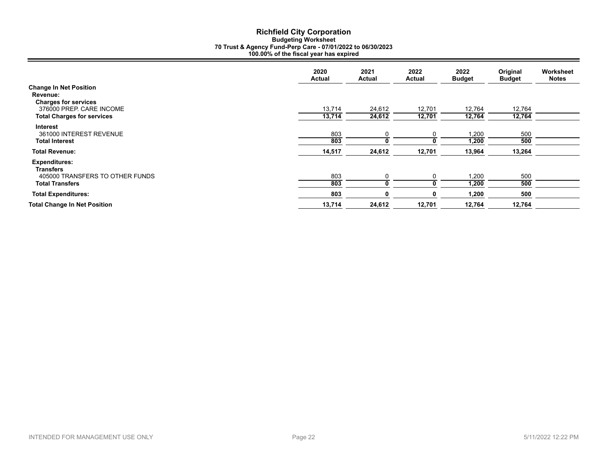# **Richfield City Corporation Budgeting Worksheet 70 Trust & Agency Fund-Perp Care - 07/01/2022 to 06/30/2023 100.00% of the fiscal year has expired**

|                                                                          | 2020<br>Actual | 2021<br>Actual | 2022<br>Actual | 2022<br><b>Budget</b> | Original<br><b>Budget</b> | Worksheet<br><b>Notes</b> |
|--------------------------------------------------------------------------|----------------|----------------|----------------|-----------------------|---------------------------|---------------------------|
| <b>Change In Net Position</b><br>Revenue:<br><b>Charges for services</b> |                |                |                |                       |                           |                           |
| 376000 PREP. CARE INCOME                                                 | 13,714         | 24,612         | 12,701         | 12,764                | 12,764                    |                           |
| <b>Total Charges for services</b>                                        | 13,714         | 24,612         | 12,701         | 12,764                | 12,764                    |                           |
| <b>Interest</b><br>361000 INTEREST REVENUE<br><b>Total Interest</b>      | 803<br>803     |                | 0              | 1,200<br>1,200        | 500<br>500                |                           |
| <b>Total Revenue:</b>                                                    | 14,517         | 24,612         | 12,701         | 13,964                | 13,264                    |                           |
| <b>Expenditures:</b><br><b>Transfers</b>                                 |                |                |                |                       |                           |                           |
| 405000 TRANSFERS TO OTHER FUNDS                                          | 803            |                |                | 1,200                 | 500                       |                           |
| <b>Total Transfers</b>                                                   | 803            |                |                | 1,200                 | 500                       |                           |
| <b>Total Expenditures:</b>                                               | 803            |                | n              | 1,200                 | 500                       |                           |
| <b>Total Change In Net Position</b>                                      | 13,714         | 24,612         | 12,701         | 12,764                | 12,764                    |                           |